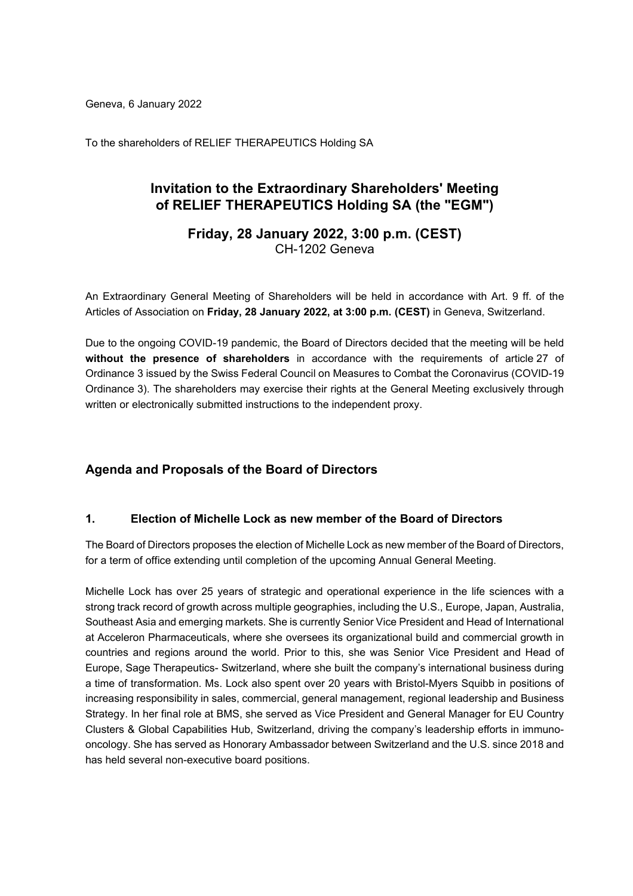Geneva, 6 January 2022

To the shareholders of RELIEF THERAPEUTICS Holding SA

# **Invitation to the Extraordinary Shareholders' Meeting of RELIEF THERAPEUTICS Holding SA (the "EGM")**

**Friday, 28 January 2022, 3:00 p.m. (CEST)** CH-1202 Geneva

An Extraordinary General Meeting of Shareholders will be held in accordance with Art. 9 ff. of the Articles of Association on **Friday, 28 January 2022, at 3:00 p.m. (CEST)** in Geneva, Switzerland.

Due to the ongoing COVID-19 pandemic, the Board of Directors decided that the meeting will be held **without the presence of shareholders** in accordance with the requirements of article 27 of Ordinance 3 issued by the Swiss Federal Council on Measures to Combat the Coronavirus (COVID-19 Ordinance 3). The shareholders may exercise their rights at the General Meeting exclusively through written or electronically submitted instructions to the independent proxy.

# **Agenda and Proposals of the Board of Directors**

## **1. Election of Michelle Lock as new member of the Board of Directors**

The Board of Directors proposes the election of Michelle Lock as new member of the Board of Directors, for a term of office extending until completion of the upcoming Annual General Meeting.

Michelle Lock has over 25 years of strategic and operational experience in the life sciences with a strong track record of growth across multiple geographies, including the U.S., Europe, Japan, Australia, Southeast Asia and emerging markets. She is currently Senior Vice President and Head of International at Acceleron Pharmaceuticals, where she oversees its organizational build and commercial growth in countries and regions around the world. Prior to this, she was Senior Vice President and Head of Europe, Sage Therapeutics- Switzerland, where she built the company's international business during a time of transformation. Ms. Lock also spent over 20 years with Bristol-Myers Squibb in positions of increasing responsibility in sales, commercial, general management, regional leadership and Business Strategy. In her final role at BMS, she served as Vice President and General Manager for EU Country Clusters & Global Capabilities Hub, Switzerland, driving the company's leadership efforts in immunooncology. She has served as Honorary Ambassador between Switzerland and the U.S. since 2018 and has held several non-executive board positions.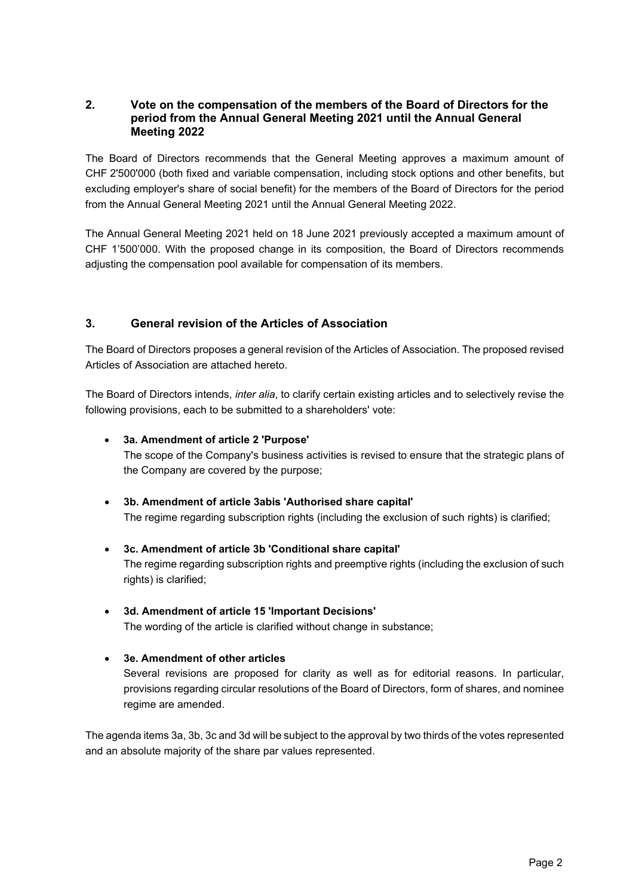## **2. Vote on the compensation of the members of the Board of Directors for the period from the Annual General Meeting 2021 until the Annual General Meeting 2022**

The Board of Directors recommends that the General Meeting approves a maximum amount of CHF 2'500'000 (both fixed and variable compensation, including stock options and other benefits, but excluding employer's share of social benefit) for the members of the Board of Directors for the period from the Annual General Meeting 2021 until the Annual General Meeting 2022.

The Annual General Meeting 2021 held on 18 June 2021 previously accepted a maximum amount of CHF 1'500'000. With the proposed change in its composition, the Board of Directors recommends adjusting the compensation pool available for compensation of its members.

# **3. General revision of the Articles of Association**

The Board of Directors proposes a general revision of the Articles of Association. The proposed revised Articles of Association are attached hereto.

The Board of Directors intends, *inter alia*, to clarify certain existing articles and to selectively revise the following provisions, each to be submitted to a shareholders' vote:

# • **3a. Amendment of article 2 'Purpose'**

The scope of the Company's business activities is revised to ensure that the strategic plans of the Company are covered by the purpose;

- **3b. Amendment of article 3abis 'Authorised share capital'** The regime regarding subscription rights (including the exclusion of such rights) is clarified;
- **3c. Amendment of article 3b 'Conditional share capital'** The regime regarding subscription rights and preemptive rights (including the exclusion of such rights) is clarified;
- **3d. Amendment of article 15 'Important Decisions'** The wording of the article is clarified without change in substance;

# • **3e. Amendment of other articles**

Several revisions are proposed for clarity as well as for editorial reasons. In particular, provisions regarding circular resolutions of the Board of Directors, form of shares, and nominee regime are amended.

The agenda items 3a, 3b, 3c and 3d will be subject to the approval by two thirds of the votes represented and an absolute majority of the share par values represented.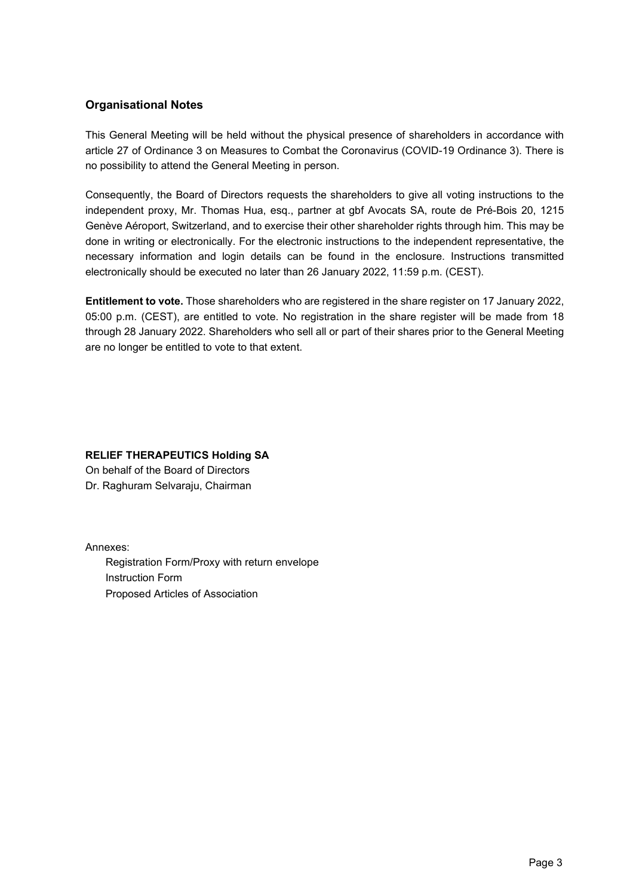# **Organisational Notes**

This General Meeting will be held without the physical presence of shareholders in accordance with article 27 of Ordinance 3 on Measures to Combat the Coronavirus (COVID-19 Ordinance 3). There is no possibility to attend the General Meeting in person.

Consequently, the Board of Directors requests the shareholders to give all voting instructions to the independent proxy, Mr. Thomas Hua, esq., partner at gbf Avocats SA, route de Pré-Bois 20, 1215 Genève Aéroport, Switzerland, and to exercise their other shareholder rights through him. This may be done in writing or electronically. For the electronic instructions to the independent representative, the necessary information and login details can be found in the enclosure. Instructions transmitted electronically should be executed no later than 26 January 2022, 11:59 p.m. (CEST).

**Entitlement to vote.** Those shareholders who are registered in the share register on 17 January 2022, 05:00 p.m. (CEST), are entitled to vote. No registration in the share register will be made from 18 through 28 January 2022. Shareholders who sell all or part of their shares prior to the General Meeting are no longer be entitled to vote to that extent.

# **RELIEF THERAPEUTICS Holding SA**

On behalf of the Board of Directors Dr. Raghuram Selvaraju, Chairman

Annexes:

Registration Form/Proxy with return envelope Instruction Form Proposed Articles of Association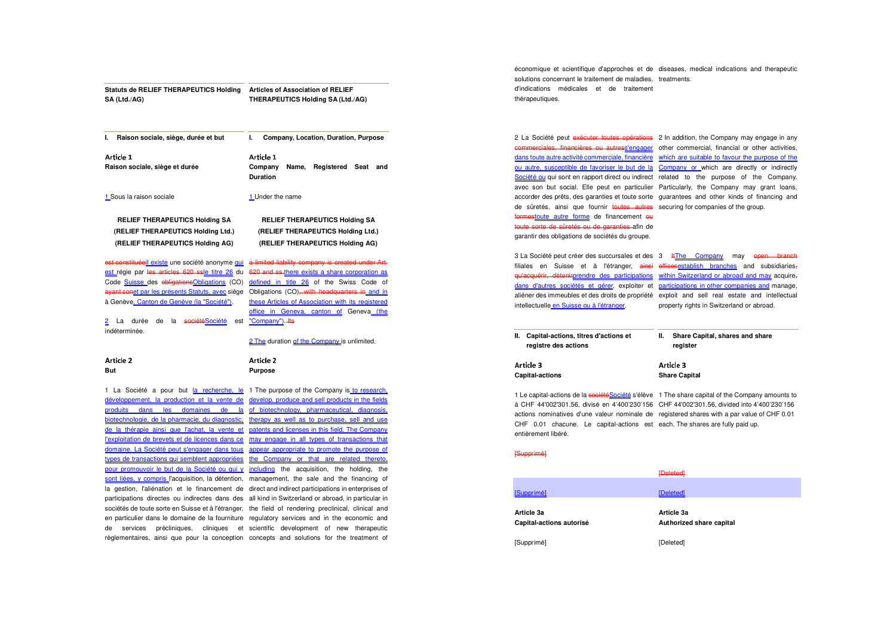| Statuts de RELIEF THERAPEUTICS Holding<br>SA (Ltd./AG)                                                                                                                                                                                                                                                                                  | <b>Articles of Association of RELIEF</b><br>THERAPEUTICS Holding SA (Ltd./AG)                                                                                                                                                                                                                                        |
|-----------------------------------------------------------------------------------------------------------------------------------------------------------------------------------------------------------------------------------------------------------------------------------------------------------------------------------------|----------------------------------------------------------------------------------------------------------------------------------------------------------------------------------------------------------------------------------------------------------------------------------------------------------------------|
| I.<br>Raison sociale, siège, durée et but                                                                                                                                                                                                                                                                                               | ı.<br>Company, Location, Duration, Purpose                                                                                                                                                                                                                                                                           |
| Article 1<br>Raison sociale, siège et durée                                                                                                                                                                                                                                                                                             | Article 1<br>Company<br>Registered Seat and<br>Name,<br>Duration                                                                                                                                                                                                                                                     |
| 1 Sous la raison sociale                                                                                                                                                                                                                                                                                                                | 1 Under the name                                                                                                                                                                                                                                                                                                     |
| <b>RELIEF THERAPEUTICS Holding SA</b><br>(RELIEF THERAPEUTICS Holding Ltd.)<br>(RELIEF THERAPEUTICS Holding AG)                                                                                                                                                                                                                         | <b>RELIEF THERAPEUTICS Holding SA</b><br>(RELIEF THERAPEUTICS Holding Ltd.)<br>(RELIEF THERAPEUTICS Holding AG)                                                                                                                                                                                                      |
| est constituéeil existe une société anonyme qui<br>est régie par les articles 620 ssle titre 26 du<br>Code Suisse des obligations Obligations (CO)<br>ayant sonet par les présents Statuts, avec siège<br>à Genève <u>, Canton de Genève (la "Société")</u> .<br>2 La durée de<br>la <del>société</del> Société<br>est<br>indéterminée. | a limited liability company is created under Art.<br>620 and ss-there exists a share corporation as<br>defined in title 26 of the Swiss Code of<br>Obligations (CO), with headquarters in and in<br>these Articles of Association with its registered<br>office in Geneva, canton of Geneva (the<br>"Company") - Its |
|                                                                                                                                                                                                                                                                                                                                         | 2 The duration of the Company is unlimited.                                                                                                                                                                                                                                                                          |
| Article 2<br>But                                                                                                                                                                                                                                                                                                                        | Article 2<br><b>Purpose</b>                                                                                                                                                                                                                                                                                          |
| développement, la production et la vente de<br>produits<br>dans les<br>domaines<br>de<br>la<br>biotechnologie, de la pharmacie, du diagnostic,                                                                                                                                                                                          | 1 La Société a pour but la recherche, le 1 The purpose of the Company is to research,<br>develop, produce and sell products in the fields<br>of biotechnology, pharmaceutical, diagnosis,<br>therapy as well as to purchase, sell and use                                                                            |

biotechnologie, de la pharmacie, du diagnostic, de la thérapie ainsi que l'achat, la vente et patents and licenses in this field. The Company l'exploitation de brevets et de licences dans ce may engage in all types of transactions that domaine. La Société peut s'engager dans tous appear appropriate to promote the purpose of types de transactions qui semblent appropriées the Company or that are related thereto, pour promouvoir le but de la Société ou qui y including the acquisition, the holding, the sont liées, y compris l'acquisition, la détention, management, the sale and the financing of la gestion, l'aliénation et le financement de direct and indirect participations in enterprises of participations directes ou indirectes dans des all kind in Switzerland or abroad, in particular insociétés de toute sorte en Suisse et à l'étranger, the field of rendering preclinical, clinical and en particulier dans le domaine de la fourniture regulatory services and in the economic and de services précliniques, cliniques et scientific development of new therapeutic

règlementaires, ainsi que pour la conception concepts and solutions for the treatment of

économique et scientifique d'approches et de diseases, medical indications and therapeutic solutions concernant le traitement de maladies, treatments. d'indications médicales et de traitement thérapeutiques.

commerciales, financières ou autres<u>s'engager</u> de sûretés, ainsi que fournir toutes autres securing for companies of the group. formestoute autre forme de financement ou toute sorte de sûretés ou de garanties afin de garantir des obligations de sociétés du groupe.

2 La Société peut exécuter toutes opérations 2 In addition, the Company may engage in any dans toute autre activité commerciale, financière which are suitable to favour the purpose of the ou autre, susceptible de favoriser le but de la Company or which are directly or indirectly Société ou qui sont en rapport direct ou indirect related to the purpose of the Company. avec son but social. Elle peut en particulier Particularly, the Company may grant loans, accorder des prêts, des garanties et toute sorte guarantees and other kinds of financing and other commercial, financial or other activities,

3 La Société peut créer des succursales et des 3 Ht<u>The Company</u> may open branch filiales en Suisse et à l'étranger, <del>ainsi offices<u>establish branches</u> and</del> subsidiaries<sub><del>,</del></sub> qu'acquérir, détenirprendre des participations within Switzerland or abroad and may acquire,dans d'autres sociétés et gérer, exploiter et participations in other companies and manage, aliéner des immeubles et des droits de propriété exploit and sell real estate and intellectual intellectuelle en Suisse ou à l'étranger. property rights in Switzerland or abroad.

| II. I | Capital-actions, titres d'actions et<br>registre des actions | reaister  | Share Capital, shares and share |  |
|-------|--------------------------------------------------------------|-----------|---------------------------------|--|
|       | Article 3                                                    | Article 3 |                                 |  |

 actions nominatives d'une valeur nominale de registered shares with a par value of CHF 0.01 1 Le capital-actions de la <del>sociétéSociété</del> s'élève 1 The share capital of the Company amounts to à CHF 44'002'301.56, divisé en 4'400'230'156 CHF 44'002'301.56, divided into 4'400'230'156 CHF 0.01 chacune. Le capital-actions est each. The shares are fully paid up. entièrement libéré.

**Share Capital** 

#### [Supprimé]

**Capital-actions** 

|                                        | <b>[Deleted]</b>                       |  |
|----------------------------------------|----------------------------------------|--|
| [Supprimé]                             | [Deleted]                              |  |
| Article 3a<br>Capital-actions autorisé | Article 3a<br>Authorized share capital |  |
| [Supprimé]                             | [Deleted]                              |  |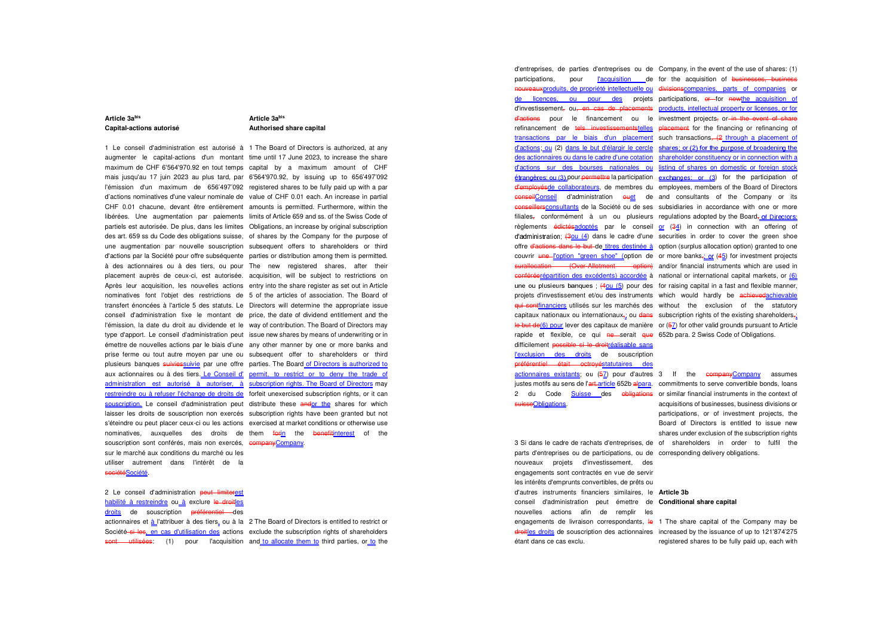### **Article 3abis Capital-actions autorisé**

## **Article 3abis Authorised share capital**

1 Le conseil d'administration est autorisé à 1 The Board of Directors is authorized, at any augmenter le capital-actions d'un montant time until 17 June 2023, to increase the share maximum de CHF 6'564'970.92 en tout temps capital by a maximum amount of CHF mais jusqu'au 17 juin 2023 au plus tard, par 6'564'970.92, by issuing up to 656'497'092 l'émission d'un maximum de 656'497'092 registered shares to be fully paid up with a par d'actions nominatives d'une valeur nominale de value of CHF 0.01 each. An increase in partial CHF 0.01 chacune, devant être entièrement amounts is permitted. Furthermore, within the libérées. Une augmentation par paiements limits of Article 659 and ss. of the Swiss Code of partiels est autorisée. De plus, dans les limites Obligations, an increase by original subscription des art. 659 ss du Code des obligations suisse, of shares by the Company for the purpose of une augmentation par nouvelle souscription subsequent offers to shareholders or third d'actions par la Société pour offre subséquente parties or distribution among them is permitted. à des actionnaires ou à des tiers, ou pour The new registered shares, after their placement auprès de ceux-ci, est autorisée. acquisition, will be subject to restrictions on Après leur acquisition, les nouvelles actions entry into the share register as set out in Article nominatives font l'objet des restrictions de 5 of the articles of association. The Board of transfert énoncées à l'article 5 des statuts. Le Directors will determine the appropriate issue conseil d'administration fixe le montant de price, the date of dividend entitlement and the l'émission, la date du droit au dividende et le way of contribution. The Board of Directors may type d'apport. Le conseil d'administration peut issue new shares by means of underwriting or in émettre de nouvelles actions par le biais d'une any other manner by one or more banks and prise ferme ou tout autre moyen par une ou subsequent offer to shareholders or third plusieurs banques suiviessuivie par une offre parties. The Board of Directors is authorized to aux actionnaires ou à des tiers. Le Conseil d' permit, to restrict or to deny the trade of administration est autorisé à autoriser, à subscription rights. The Board of Directors may restreindre ou à refuser l'échange de droits de forfeit unexercised subscription rights, or it can <u>souscription.</u> Le conseil d'administration peut distribute these <del>and</del>or the shares for which laisser les droits de souscription non exercés subscription rights have been granted but not s'éteindre ou peut placer ceux-ci ou les actions exercised at market conditions or otherwise use nominatives, auxquelles des droits de them <del>for<u>in</u> the benefit<u>interest</u> of the</del> souscription sont conférés, mais non exercés, companyCompany. sur le marché aux conditions du marché ou les utiliser autrement dans l'intérêt de la sociétéSociété.

2 Le conseil d'administration peut limiterest habilité à restreindre ou\_à exclure le droitles droits de souscription <del>préférentiel d</del>es

actionnaires et à l'attribuer à des tiers, ou à la 2 The Board of Directors is entitled to restrict orSociété si les, en cas d'utilisation des actions exclude the subscription rights of shareholders sont utilisées: (1) pour l'acquisition and to allocate them to third parties, or to the

d'entreprises, de parties d'entreprises ou de Company, in the event of the use of shares: (1) participations, pour l'acquisition de for the acquisition of businesses, business nouveauxproduits, de propriété intellectuelle ou divisionscompanies, parts of companies or de licences, ou pour des projets participations, <del>or </del>for <del>new<u>the</u> acquisition</del> of d'investissement, ou<del>, en cas de placements</del> products, intellectual property or licenses, or for d'actions pour le financement ou le investment projects<sub>7</sub> or in the event of share refinancement de <del>tels investissements<u>telles</u> placement</del> for the financing or refinancing of transactions par le biais d'un placement such transactions<del>, (2 through a placement of</del> d'actions, ou (2) dans le but d'élargir le cercle shares; or (2) for the purpose of broadening the des actionnaires ou dans le cadre d'une cotation shareholder constituency or in connection with a d'actions sur des bourses nationales ou listing of shares on domestic or foreign stock *étrangères*; ou (3) pour <del>permettre</del> la participation exchanges; or (3) for the participation of d'employésde collaborateurs</u>, de membres du employees, members of the Board of Directors conseilConseil d'administration euet de and consultants of the Company or its conseillersconsultants de la Société ou de ses subsidiaries in accordance with one or more filiales<del>,</del> conformément à un ou plusieurs regulations-adopted-by-the-Board<u>, of-Directors</u> règlements é<del>dictésadoptés</del> par le conseil or (34) in connection with an offering of d'administration;  $(301/4)$  dans le cadre d'une securities in order to cover the green shoe offre <del>d'actions dans le but d</del>e <u>titres destinée à</u> option (surplus allocation option) granted to one couvrir une l'option "green shoe" (option de or more banks, or (45) for investment projects surallocation (Over-Allotment option) and/or financial instruments which are used in conféréerépartition des excédents) accordée à national or international capital markets, or (6) une ou plusieurs banques;  $(401/5)$  pour des for raising capital in a fast and flexible manner, projets d'investissement et/ou des instruments which would hardly be <del>achievedachievable</del> qui sontfinanciers utilisés sur les marchés des without the exclusion of the statutory capitaux nationaux ou internationaux<del>,</del>; ou <del>dans</del> subscription rights of the existing shareholders<del>,</del> le but de(6) pour lever des capitaux de manière or (57) for other valid grounds pursuant to Article rapide et flexible, ce qui <del>ne</del>—serait <del>que</del> 652b para. 2 Swiss Code of Obligations. difficilement possible si le droitréalisable sans l'exclusion des droits</u> de souscription préférentiel était octroyéstatutaires des actionnaires existants; ou (5<u>7</u>) pour d'autres 3 lf the companyCompany assumes justes motifs au sens de l'<del>art.a</del>rticle 652b <del>al</del>para. commitments to serve convertible bonds, loans 2 du Code Suisse des obligations or similar financial instruments in the context of

3 Si dans le cadre de rachats d'entreprises, de of shareholders in order to fulfil the parts d'entreprises ou de participations, ou de corresponding delivery obligations. nouveaux projets d'investissement, des engagements sont contractés en vue de servir les intérêts d'emprunts convertibles, de prêts ou d'autres instruments financiers similaires, le **Article 3b** conseil d'administration peut émettre de **Conditional share capital**nouvelles actions afin de remplir les engagements de livraison correspondants, le 1 The share capital of the Company may be étant dans ce cas exclu.

suisseObligations.

acquisitions of businesses, business divisions or participations, or of investment projects, the Board of Directors is entitled to issue new shares under exclusion of the subscription rights

droitles droits de souscription des actionnaires increased by the issuance of up to 121'874'275 registered shares to be fully paid up, each with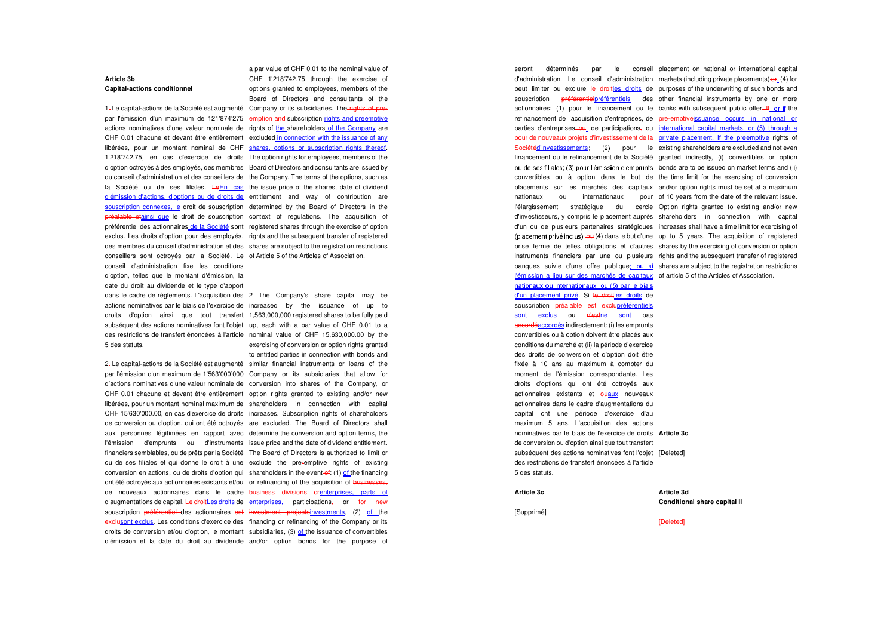#### **Article 3b Capital-actions conditionnel**

par l'émission d'un maximum de 121'874'275 <del>emption and</del> subscription <u>rights and preemptive</u> actions nominatives d'une valeur nominale de rights of the shareholders of the Company are CHF 0.01 chacune et devant être entièrement excluded in connection with the issuance of any libérées, pour un montant nominal de CHF shares, options or subscription rights thereof. 1'218'742.75, en cas d'exercice de droits The option rights for employees, members of the d'option octroyés à des employés, des membres Board of Directors and consultants are issued by du conseil d'administration et des conseillers de the Company. The terms of the options, such as la Société ou de ses filiales. <del>Le<u>En cas</u> the issue price of the shares, date of dividend</del> d'émission d'actions, d'options ou de droits de entitlement and way of contribution are souscription connexes, le</u> droit de souscription determined by the Board of Directors in the p<del>réalable et<u>ainsi que</u> le droit de souscription context of regulations. The acquisition of</del> préférentiel des actionnaires de la Société sont registered shares through the exercise of option exclus. Les droits d'option pour des employés, rights and the subsequent transfer of registered des membres du conseil d'administration et des shares are subject to the registration restrictions conseillers sont octroyés par la Société. Le of Article 5 of the Articles of Association. conseil d'administration fixe les conditions d'option, telles que le montant d'émission, la date du droit au dividende et le type d'apport dans le cadre de règlements. L'acquisition des 2 The Company's share capital may be

actions nominatives par le biais de l'exercice de increased by the issuance of up to droits d'option ainsi que tout transfert 1,563,000,000 registered shares to be fully paid subséquent des actions nominatives font l'objet up, each with a par value of CHF 0.01 to a des restrictions de transfert énoncées à l'article nominal value of CHF 15,630,000.00 by the 5 des statuts.

2. Le capital-actions de la Société est augmenté similar financial instruments or loans of the par l'émission d'un maximum de 1'563'000'000 Company or its subsidiaries that allow for d'actions nominatives d'une valeur nominale de conversion into shares of the Company, or CHF 0.01 chacune et devant être entièrement option rights granted to existing and/or new libérées, pour un montant nominal maximum de shareholders in connection with capital CHF 15'630'000.00, en cas d'exercice de droits increases. Subscription rights of shareholders de conversion ou d'option, qui ont été octroyés are excluded. The Board of Directors shall aux personnes légitimées en rapport avec determine the conversion and option terms, the l'émission d'emprunts ou d'instruments issue price and the date of dividend entitlement. financiers semblables, ou de prêts par la Société The Board of Directors is authorized to limit or ou de ses filiales et qui donne le droit à une exclude the pre-emptive rights of existing conversion en actions, ou de droits d'option qui shareholders in the event-of: (1) of the financing ont été octroyés aux actionnaires existants et/ou or refinancing of the acquisition of businesses, de nouveaux actionnaires dans le cadre <del>business divisions or<u>enterprises</u>, parts of</del> d'augmentations de capital. <del>Le droit</del>Les droits de enterprises, participations<del>,</del> or <del>for new</del> souscription préférentiel des actionnaires est investment projectsinvestments, (2) of the <del>exclusont exclus</del>. Les conditions d'exercice des financing or refinancing of the Company or its droits de conversion et/ou d'option, le montant subsidiaries, (3) of the issuance of convertibles d'émission et la date du droit au dividende and/or option bonds for the purpose of

1<sub>7</sub> Le capital-actions de la Société est augmenté Company or its subsidiaries. The rights of prea par value of CHF 0.01 to the nominal value of CHF 1'218'742.75 through the exercise of options granted to employees, members of the Board of Directors and consultants of the

exercising of conversion or option rights granted to entitled parties in connection with bonds and

d'administration. Le conseil d'administration markets (including private placements)-er, (4) for peut limiter ou exclure le droitles droits de purposes of the underwriting of such bonds and souscription <del>préférentiel<u>préférentiels</u> des other financial instruments by one or more</del> actionnaires: (1) pour le financement ou le banks with subsequent public offer. If the refinancement de l'acquisition d'entreprises, de <del>pre-emptive<u>issuance occurs in national or</u></del> parties d'entreprises–eu, de participations, ou *international capital markets, or (5) through a* pour de nouveaux projets d'investissement de la private placement. If the preemptive rights of <del>Société<u>d'investissements</u>"</del> (2) pour le existing shareholders are excluded and not even financement ou le refinancement de la Société granted indirectly, (i) convertibles or option ou de ses filiales; (3) pour l'émission d'emprunts bonds are to be issued on market terms and (ii) convertibles ou à option dans le but de the time limit for the exercising of conversion placements sur les marchés des capitaux and/or option rights must be set at a maximum nationaux ou internationaux pour of 10 years from the date of the relevant issue. l'élargissement stratégique du cercle Option rights granted to existing and/or new d'investisseurs, y compris le placement auprès shareholders in connection with capital d'un ou de plusieurs partenaires stratégiques increases shall have a time limit for exercising of(placement privé inclus);  $\frac{\partial u}{\partial t}(4)$  dans le but d'une up to 5 years. The acquisition of registered prise ferme de telles obligations et d'autres shares by the exercising of conversion or option instruments financiers par une ou plusieurs rights and the subsequent transfer of registered banques suivie d'une offre publique<u>; ou si</u> shares are subject to the registration restrictions l'émission a lieu sur des marchés de capitaux</u> of article 5 of the Articles of Association. nationaux ou internationaux: ou (5) par le biais d'un placement privé. Si le droitles droits de souscription préalable est exclupréférentiels sont exclus ou n'estne sont pas accordéaccordés indirectement: (i) les emprunts convertibles ou à option doivent être placés aux conditions du marché et (ii) la période d'exercice des droits de conversion et d'option doit être fixée à 10 ans au maximum à compter du moment de l'émission correspondante. Les droits d'options qui ont été octroyés aux actionnaires existants et **QUALLY** nouveaux actionnaires dans le cadre d'augmentations du capital ont une période d'exercice d'au maximum 5 ans. L'acquisition des actions nominatives par le biais de l'exercice de droits **Article 3c** de conversion ou d'option ainsi que tout transfert subséquent des actions nominatives font l'objet [Deleted] des restrictions de transfert énoncées à l'article 5 des statuts.

seront déterminés par le conseil placement on national or international capital

## **Article 3c**

## **Article 3d**

**Conditional share capital II** 

[Supprimé]

#### [Deleted]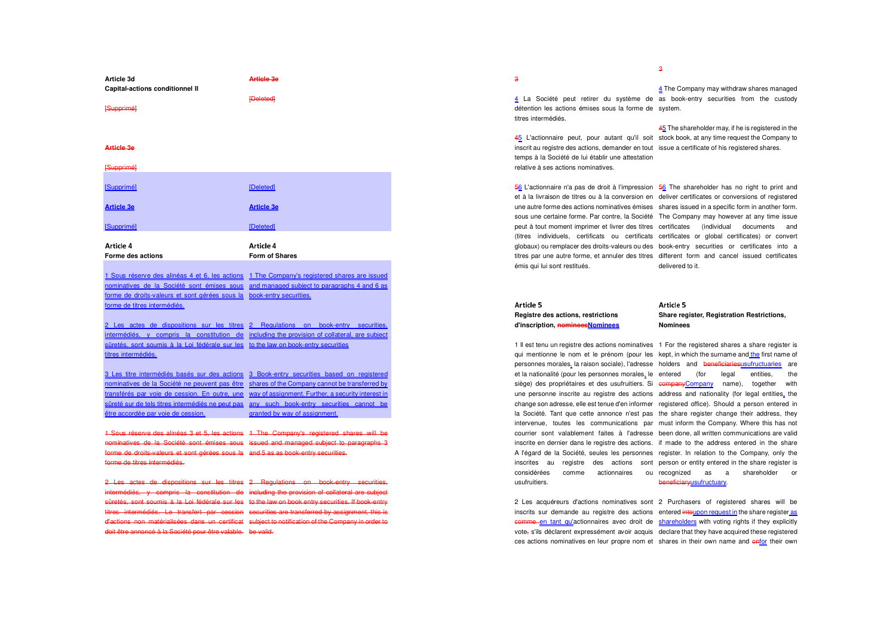| Article 3d<br><b>Capital-actions conditionnel II</b> | <b>Article 3e</b>                  |
|------------------------------------------------------|------------------------------------|
| [Supprimé]                                           | <b>[Deleted]</b>                   |
| <b>Article 3e</b>                                    |                                    |
| [Supprimé]                                           |                                    |
| [Supprimé]                                           | [Deleted]                          |
| <b>Article 3e</b>                                    | <b>Article 3e</b>                  |
| [Supprimé]                                           | [Deleted]                          |
| Article 4<br>Forme des actions                       | Article 4<br><b>Form of Shares</b> |

forme de droits-valeurs et sont gérées sous la book-entry securities. 1 Sous réserve des alinéas 4 et 6, les actions 1 The Company's registered shares are issued nominatives de la Société sont émises sous and managed subject to paragraphs 4 and 6 as forme de titres intermédiés.

2 Les actes de dispositions sur les titres 2 Regulations on book-entry securities, intermédiés, y compris la constitution de including the provision of collateral, are subject sûretés, sont soumis à la Loi fédérale sur les to the law on book-entry securitiestitres intermédiés.

3 Les titre intermédiés basés sur des actions 3 Book-entry securities based on registered nominatives de la Société ne peuvent pas être shares of the Company cannot be transferred by transférés par voie de cession. En outre, une way of assignment. Further, a security interest in sûreté sur de tels titres intermédiés ne peut pas any such book-entry securities cannot be être accordée par voie de cession.granted by way of assignment.

1 Sous réserve des alinéas 3 et 5, les actions 1 The Company's registered shares will be nominatives de la Société sont émises sous issued and managed subject to paragraphs 3 forme de droits-valeurs et sont gérées sous la and 5 as as book-entry securities. forme de titres intermédiés.

2 Les actes de dispositions sur les titres 2 Regulations on book-entry securities, intermédiés, y compris la constitution de including the provision of collateral are subject sûretés, sont soumis à la Loi fédérale sur les to the law on book entry securities. If book entry titres intermédiés. Le transfert par cession securities are transferred by assignment, this is d'actions non matérialisées dans un certificat subject to notification of the Company in order to doit être annoncé à la Société pour être valable. be valid.

3

4 La Société peut retirer du système de as book-entry securities from the custody détention les actions émises sous la forme de system. titres intermédiés. 4 The Company may withdraw shares managed

delivered to it.

45 L'actionnaire peut, pour autant qu'il soit stock book, at any time request the Company to inscrit au registre des actions, demander en tout issue a certificate of his registered shares. temps à la Société de lui établir une attestation relative à ses actions nominatives. 45 The shareholder may, if he is registered in the

5<u>6</u> L'actionnaire n'a pas de droit à l'impression 56 The shareholder has no right to print and et à la livraison de titres ou à la conversion en deliver certificates or conversions of registered une autre forme des actions nominatives émises shares issued in a specific form in another form. sous une certaine forme. Par contre, la Société The Company may however at any time issue peut à tout moment imprimer et livrer des titres certificates (individual documents and (titres individuels, certificats ou certificats certificates or global certificates) or convert globaux) ou remplacer des droits-valeurs ou des book-entry securities or certificates into a titres par une autre forme, et annuler des titres different form and cancel issued certificates

## Article 5 **Registre des actions, restrictions d'inscription, nomineesNominees**

émis qui lui sont restitués.

usufruitiers.

## Article 5 **Share register, Registration Restrictions, Nominees**

qui mentionne le nom et le prénom (pour les kept, in which the surname and the first name of 1 Il est tenu un registre des actions nominatives 1 For the registered shares a share register is personnes morales, la raison sociale), l'adresse holders and <del>beneficiariesusufructuaries</del> are et la nationalité (pour les personnes morales, le entered (for legal entities, the siège) des propriétaires et des usufruitiers. Si e<del>ompanyCompany</del> name), together with une personne inscrite au registre des actions address and nationality (for legal entities, the change son adresse, elle est tenue d'en informer registered office). Should a person entered in la Société. Tant que cette annonce n'est pas the share register change their address, they intervenue, toutes les communications par must inform the Company. Where this has not courrier sont valablement faites à l'adresse been done, all written communications are valid inscrite en dernier dans le registre des actions. if made to the address entered in the share A l'égard de la Société, seules les personnes register. In relation to the Company, only the inscrites au registre des actions sont person or entity entered in the share register is considérées comme actionnaires ou recognized as a shareholder or beneficiaryusufructuary.

2 Les acquéreurs d'actions nominatives sont 2 Purchasers of registered shares will be inscrits sur demande au registre des actions entered *intoupon request in* the share register as comme en tant qu'actionnaires avec droit de vote, s'ils déclarent expressément avoir acquis declare that they have acquired these registered ces actions nominatives en leur propre nom et shares in their own name and enfor their own

shareholders</u> with voting rights if they explicitly

3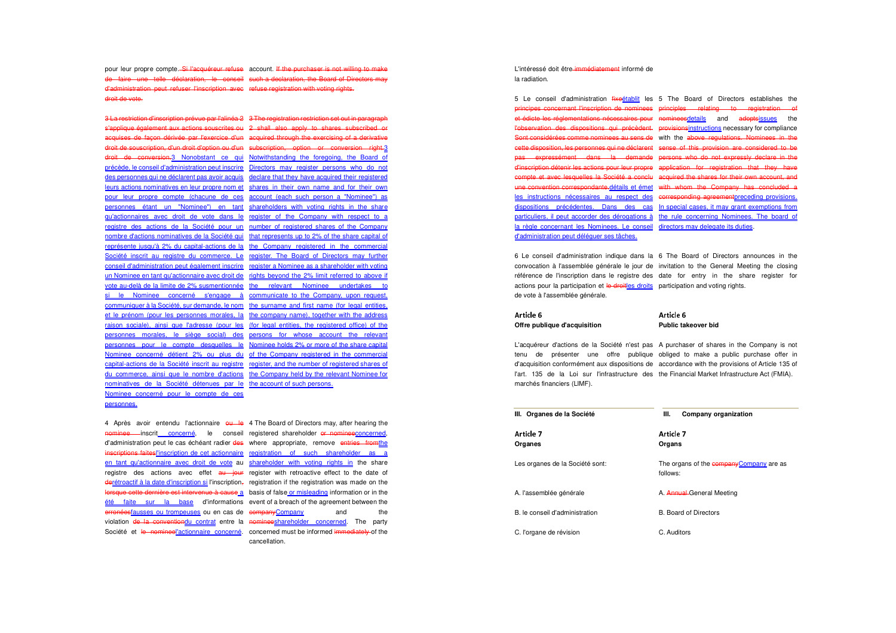pour leur propre compte.<del>-Si l'acquéreur refuse</del> account. <del>If the purchaser is not willing to make</del> de faire une telle déclaration, le conseil such a declaration, the Board of Directors may d'administration peut refuser l'inscription avec refuse registration with voting rights.droit de vote.

3 La restriction d'inscription prévue par l'alinéa 2 3 The registration restriction set out in paragraph s'applique également aux actions souscrites ou 2 shall also apply to shares subscribed or acquises de façon dérivée par l'exercice d'un acquired through the exercising of a derivative droit de souscription, d'un droit d'option ou d'un subscription, aption or conversion right.3 droit de conversion.3 Nonobstant ce qui Notwithstanding the foregoing, the Board of précède, le conseil d'administration peut inscrire Directors may register persons who do not des personnes qui ne déclarent pas avoir acquis declare that they have acquired their registered leurs actions nominatives en leur propre nom et shares in their own name and for their own pour leur propre compte (chacune de ces account (each such person a "Nominee") as personnes étant un "Nominee") en tant shareholders with voting rights in the share qu'actionnaires avec droit de vote dans le register of the Company with respect to a registre des actions de la Société pour un number of registered shares of the Company nombre d'actions nominatives de la Société qui that represents up to 2% of the share capital of représente jusqu'à 2% du capital-actions de la the Company registered in the commercial Société inscrit au registre du commerce. Le register. The Board of Directors may further conseil d'administration peut également inscrire register a Nominee as a shareholder with voting un Nominee en tant qu'actionnaire avec droit de rights beyond the 2% limit referred to above if vote au-delà de la limite de 2% susmentionnée the relevant Nominee undertakes to si le Nominee concerné s'engage à communicate to the Company, upon request, communiquer à la Société, sur demande, le nom the surname and first name (for legal entities, et le prénom (pour les personnes morales, la the company name), together with the address raison sociale), ainsi que l'adresse (pour les (for legal entities, the registered office) of the personnes morales, le siège social) des persons for whose account the relevant personnes pour le compte desquelles le Nominee holds 2% or more of the share capital Nominee concerné détient 2% ou plus du of the Company registered in the commercial capital-actions de la Société inscrit au registre register, and the number of registered shares of du commerce, ainsi que le nombre d'actions the Company held by the relevant Nominee for nominatives de la Société détenues par le the account of such persons. Nominee concerné pour le compte de ces personnes.

4 Après avoir entendu l'actionnaire <del>ou le</del> 4 The Board of Directors may, after hearing the nominee inscrit concerné, le conseil registered shareholder or nomineeconcerned, d'administration peut le cas échéant radier <del>des</del> where appropriate, remove <del>entries from<u>the</u></del> inscriptions faitesl'inscription de cet actionnaire registration of such shareholder as a en tant qu'actionnaire avec droit de vote au shareholder with voting rights in the share registre des actions avec effet <del>au jour</del> register with retroactive effect to the date of derétroactif à la date d'inscription si l'inscription, registration if the registration was made on the lorsque cette dernière est intervenue à cause a basis of false or misleading information or in the été faite sur la base d'informations event of a breach of the agreement between the erronéesfausses ou trompeuses ou en cas de companyCompany and the violation <del>de la conventiondu contrat</del> entre la nomineeshareholder concerned. The party Société et le nomineel'actionnaire concerné. concerned must be informed immediately of the

cancellation.

L'intéressé doit être-immédiatement informé de la radiation.

5 Le conseil d'administration fixeétablit les 5 The Board of Directors establishes the la règle concernant les Nominees. Le conseil directors may delegate its duties. d'administration peut déléguer ses tâches.

 principes concernant l'inscription de nominees principles relating to registration of et édicte les réglementations nécessaires pour nomineesdetails and adoptsissues the l'observation des dispositions qui précèdent. provisionsinstructions</u> necessary for compliance Sont considérées comme nominees au sens de with the above regulations. Nominees in the cette disposition, les personnes qui ne déclarent sense of this provision are considered to be pas expressément dans la demande persons who do not expressly declare in the d'inscription détenir les actions pour leur propre application for registration that they have compte et avec lesquelles la Société a conclu acquired the shares for their own account, and une convention correspondante.détails et émet with whom the Company has concluded a les instructions nécessaires au respect des corresponding agreementpreceding provisions. dispositions précédentes. Dans des cas In special cases, it may grant exemptions from particuliers, il peut accorder des dérogations à the rule concerning Nominees. The board of

6 Le conseil d'administration indique dans la 6 The Board of Directors announces in the convocation à l'assemblée générale le jour de invitation to the General Meeting the closing référence de l'inscription dans le registre des date for entry in the share register for actions pour la participation et le droitles droits participation and voting rights. de vote à l'assemblée générale.

#### Article 6 23456789**Offre publique d'acquisition**

#### Article 6 . . . . . . **Public takeover bid**

 d'acquisition conformément aux dispositions de accordance with the provisions of Article 135 of L'acquéreur d'actions de la Société n'est pas A purchaser of shares in the Company is not tenu de présenter une offre publique obliged to make a public purchase offer in l'art. 135 de la Loi sur l'infrastructure des the Financial Market Infrastructure Act (FMIA). marchés financiers (LIMF).

| III. Organes de la Société      | III.<br>Company organization                         |
|---------------------------------|------------------------------------------------------|
| Article 7<br>Organes            | Article 7<br>Organs                                  |
| Les organes de la Société sont: | The organs of the company Company are as<br>follows: |
| A. l'assemblée générale         | A. <b>Annual</b> General Meeting                     |
| B. le conseil d'administration  | <b>B. Board of Directors</b>                         |
| C. l'organe de révision         | C. Auditors                                          |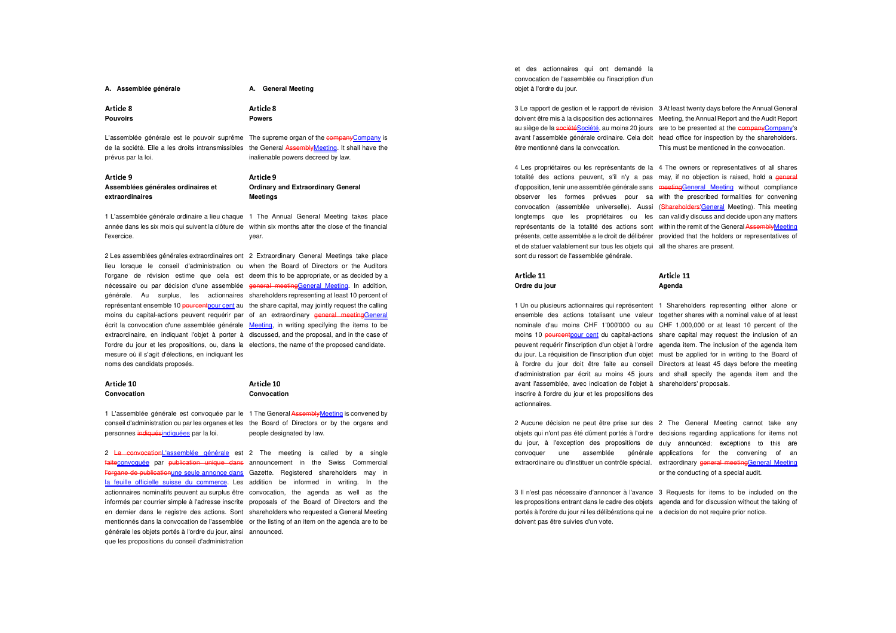| А. | Assemblée générale |  |  |  |
|----|--------------------|--|--|--|
|    |                    |  |  |  |
|    |                    |  |  |  |

Article 8 ;<=>?@AB

Article 8

**Powers** 

**A.** General Meeting

**Pouvoirs** 

prévus par la loi.

 inalienable powers decreed by law. L'assemblée générale est le pouvoir suprême The supreme organ of the company Company is de la société. Elle a les droits intransmissibles the General AssemblyMeeting. It shall have the

Article 9 ;<=>?@AC**Assemblées générales ordinaires et extraordinaires** 

Article 9 ;<=>?@AC**Ordinary and Extraordinary General Meetings** 

 année dans les six mois qui suivent la clôture de within six months after the close of the financial 1 L'assemblée générale ordinaire a lieu chaque 1 The Annual General Meeting takes place l'exercice. year.

2 Les assemblées générales extraordinaires ont 2 Extraordinary General Meetings take place lieu lorsque le conseil d'administration ou when the Board of Directors or the Auditors l'organe de révision estime que cela est deem this to be appropriate, or as decided by a nécessaire ou par décision d'une assemblée general meetingGeneral Meeting. In addition, générale. Au surplus, les actionnaires shareholders representing at least 10 percent of représentant ensemble 10 <del>pourcent</del>pour cent au the share capital, may jointly request the calling moins du capital-actions peuvent requérir par of an extraordinary <del>general meetingGeneral</del> écrit la convocation d'une assemblée générale Meeting, in writing specifying the items to be extraordinaire, en indiquant l'objet à porter à discussed, and the proposal, and in the case of l'ordre du jour et les propositions, ou, dans la elections, the name of the proposed candidate. mesure où il s'agit d'élections, en indiquant les noms des candidats proposés.

| Article 10  | Article 10  |
|-------------|-------------|
| Convocation | Convocation |

personnes <del>indiqués<u>indiquées</u> p</del>ar la loi. conseil d'administration ou par les organes et les the Board of Directors or by the organs and

 people designated by law. 1 L'assemblée générale est convoquée par le 1 The General Assembly Meeting is convened by

2 <del>La convocation</del>L'assemblée générale est 2 The meeting is called by a single faiteconvoquée par <del>publication unique dans</del> announcement in the Swiss Commercial l'organe de publicationune seule annonce dans Gazette. Registered shareholders may in la feuille officielle suisse du commerce. Les addition be informed in writing. In the actionnaires nominatifs peuvent au surplus être convocation, the agenda as well as the informés par courrier simple à l'adresse inscrite proposals of the Board of Directors and the en dernier dans le registre des actions. Sont shareholders who requested a General Meeting mentionnés dans la convocation de l'assemblée or the listing of an item on the agenda are to be générale les objets portés à l'ordre du jour, ainsi announced. que les propositions du conseil d'administration

et des actionnaires qui ont demandé la convocation de l'assemblée ou l'inscription d'un objet à l'ordre du jour.

être mentionné dans la convocation.

3 Le rapport de gestion et le rapport de révision 3 At least twenty days before the Annual General doivent être mis à la disposition des actionnaires Meeting, the Annual Report and the Audit Report au siège de la société<u>Société</u>, au moins 20 jours are to be presented at the companyCompany's avant l'assemblée générale ordinaire. Cela doit head office for inspection by the shareholders. This must be mentioned in the convocation.

4 Les propriétaires ou les représentants de la 4 The owners or representatives of all shares totalité des actions peuvent, s'il n'y a pas may, if no objection is raised, hold a <del>general</del> d'opposition, tenir une assemblée générale sans <del>meeting<u>General Meeting</u> without compliance</del> observer les formes prévues pour sa with the prescribed formalities for convening convocation (assemblée universelle). Aussi (Shareholders'General Meeting). This meeting longtemps que les propriétaires ou les can validly discuss and decide upon any matters représentants de la totalité des actions sont within the remit of the General Assembly Meeting présents, cette assemblée a le droit de délibérer provided that the holders or representatives of et de statuer valablement sur tous les objets qui all the shares are present. sont du ressort de l'assemblée générale.

## Article 11 **Ordre du jour**

Article 11 **Agenda** 

 nominale d'au moins CHF 1'000'000 ou au CHF 1,000,000 or at least 10 percent of the 1 Un ou plusieurs actionnaires qui représentent 1 Shareholders representing either alone or ensemble des actions totalisant une valeur together shares with a nominal value of at least moins 10 pourcent pour cent du capital-actions share capital may request the inclusion of an peuvent requérir l'inscription d'un objet à l'ordre agenda item. The inclusion of the agenda item du jour. La réquisition de l'inscription d'un objet must be applied for in writing to the Board of à l'ordre du jour doit être faite au conseil Directors at least 45 days before the meeting d'administration par écrit au moins 45 jours and shall specify the agenda item and the avant l'assemblée, avec indication de l'objet à shareholders' proposals. inscrire à l'ordre du jour et les propositions des actionnaires.

2 Aucune décision ne peut être prise sur des 2 The General Meeting cannot take any objets qui n'ont pas été dûment portés à l'ordre decisions regarding applications for items not du jour, à l'exception des propositions de duly announced; exceptions to this ar convoquer une assemblée générale applications for the convening of an extraordinaire ou d'instituer un contrôle spécial. extraordinary general meetingGeneral Meeting

or the conducting of a special audit.

3 Il n'est pas nécessaire d'annoncer à l'avance 3 Requests for items to be included on the les propositions entrant dans le cadre des objets agenda and for discussion without the taking of portés à l'ordre du jour ni les délibérations qui ne a decision do not require prior notice. doivent pas être suivies d'un vote.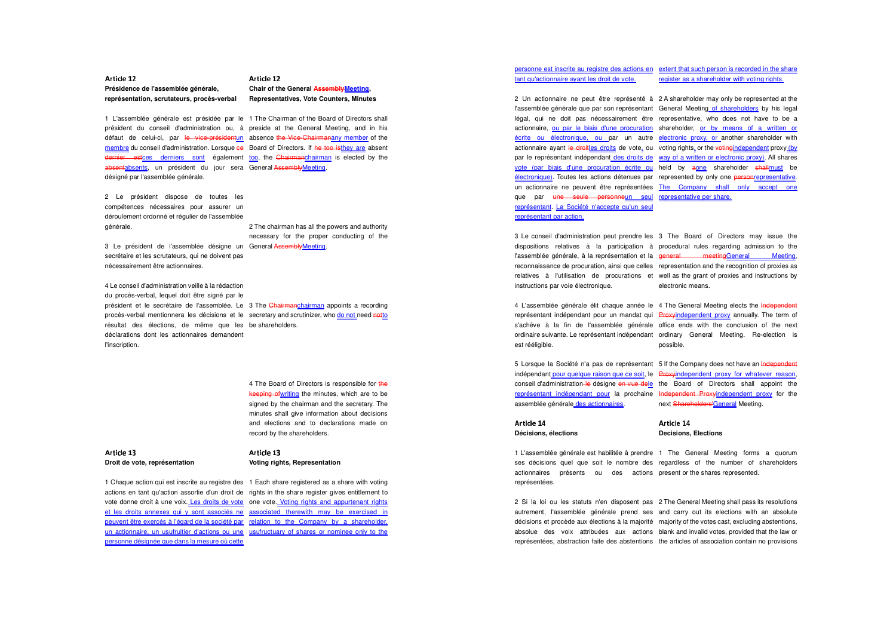#### Article 12 ;<=>?@ADW

**Présidence de l'assemblée générale, représentation, scrutateurs, procès-verbal** 

#### Article 12 ;<=>?@ADW**Chair of the General AssemblyMeeting, Representatives, Vote Counters, Minutes**

1 L'assemblée générale est présidée par le 1 The Chairman of the Board of Directors shall

 président du conseil d'administration ou, à preside at the General Meeting, and in his défaut de celui-ci, par <del>le vice-président<u>un</u> absence the Vice-Chairmanany member</del> of the membre du conseil d'administration. Lorsque ce Board of Directors. If he too isthey are absent dernier estces derniers sont également too, the Chairmanchairman is elected by the absentabsents, un président du jour sera General AssemblyMeeting. désigné par l'assemblée générale.

2 Le président dispose de toutes les compétences nécessaires pour assurer un déroulement ordonné et régulier de l'assemblée générale.

2 The chairman has all the powers and authority necessary for the proper conducting of the

3 Le président de l'assemblée désigne un General-<del>Assembly<u>Meeting</u>.</del> secrétaire et les scrutateurs, qui ne doivent pas nécessairement être actionnaires.

4 Le conseil d'administration veille à la rédaction du procès-verbal, lequel doit être signé par le président et le secrétaire de l'assemblée. Le 3 The <del>Chairmanchairman</del> appoints a recording procès-verbal mentionnera les décisions et le secretary and scrutinizer, who do not need notto résultat des élections, de même que les be shareholders. déclarations dont les actionnaires demandent l'inscription.

> 4 The Board of Directors is responsible for the keeping of writing the minutes, which are to be signed by the chairman and the secretary. The minutes shall give information about decisions and elections and to declarations made on record by the shareholders.

#### . . . . . . . **Droit de vote, représentation**

#### . . . . . . . **Voting rights, Representation**

vote donne droit à une voix. Les droits de vote one vote. Voting rights and appurtenant rights 1 Chaque action qui est inscrite au registre des 1 Each share registered as a share with voting actions en tant qu'action assortie d'un droit de rights in the share register gives entitlement to et les droits annexes qui y sont associés ne associated therewith may be exercised in peuvent être exercés à l'égard de la société par relation to the Company by a shareholder, un actionnaire, un usufruitier d'actions ou une usufructuary of shares or nominee only to the personne désignée que dans la mesure où cette

#### personne est inscrite au registre des actions en extent that such person is recorded in the share tant qu'actionnaire ayant les droit de vote.register as a shareholder with voting rights.

électronique). Toutes les actions détenues par represented by only one personrepresentative que par <del>une seule personne</del>un seul representative.per.share. représentant. La Société n'accepte qu'un seul représentant par action.

2 Un actionnaire ne peut être représenté à 2 A shareholder may only be represented at the l'assemblée générale que par son représentant General Meeting of shareholders by his legal légal, qui ne doit pas nécessairement être representative, who does not have to be a actionnaire, <u>ou par le biais d'une procuration</u> shareholder, <u>or by means of a written or</u> écrite ou électronique, ou par un autre electronic proxy, or another shareholder with actionnaire ayant <del>le droit</del>les droits de vote, ou voting rights, or the vetingindependent proxy (by par le représentant indépendant des droits de way of a written or electronic proxy). All shares vote (par biais d'une procuration écrite ou held by aone shareholder shallmust be un actionnaire ne peuvent être représentées The Company shall only accept one

instructions par voie électronique.

3 Le conseil d'administration peut prendre les 3 The Board of Directors may issue the dispositions relatives à la participation à procedural rules regarding admission to the l'assemblée générale, à la représentation et la general meetingGeneral Meeting, reconnaissance de procuration, ainsi que celles representation and the recognition of proxies as relatives à l'utilisation de procurations et well as the grant of proxies and instructions by electronic means.

4 L'assemblée générale élit chaque année le 4 The General Meeting elects the <del>Independent</del> représentant indépendant pour un mandat qui Proxyindependent proxy annually. The term of s'achève à la fin de l'assemblée générale office ends with the conclusion of the next ordinaire suivante. Le représentant indépendant ordinary General Meeting. Re-election is est rééligible. possible.

5 Lorsque la Société n'a pas de représentant 5 If the Company does not have an <del>Independent</del> indépendant pour quelque raison que ce soit, le Proxyindependent proxy for whatever reason, conseil d'administration le désigne en vue dele the Board of Directors shall appoint the représentant indépendant pour la prochaine Independent Proxyindependent proxy for the assemblée générale des actionnaires.

. . . . . . . **Décisions, élections** 

. . . . . . . **Decisions, Elections** 

 actionnaires présents ou des actions present or the shares represented. 1 L'assemblée générale est habilitée à prendre 1 The General Meeting forms a quorum ses décisions quel que soit le nombre des regardless of the number of shareholders représentées.

2 Si la loi ou les statuts n'en disposent pas 2 The General Meeting shall pass its resolutions autrement, l'assemblée générale prend ses and carry out its elections with an absolute décisions et procède aux élections à la majorité majority of the votes cast, excluding abstentions, absolue des voix attribuées aux actions blank and invalid votes, provided that the law or représentées, abstraction faite des abstentions the articles of association contain no provisions

next Shareholders'General Meeting.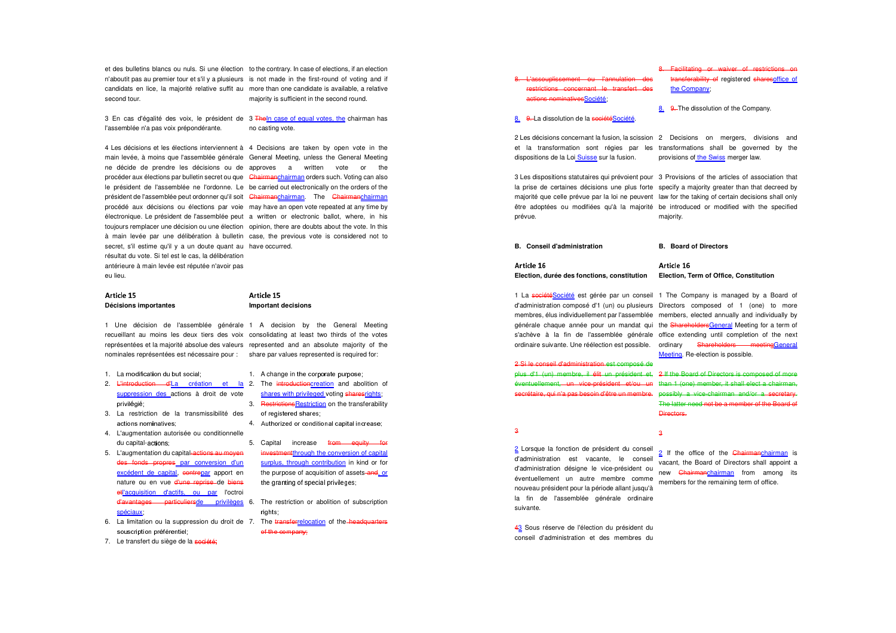et des bulletins blancs ou nuls. Si une élection to the contrary. In case of elections, if an election n'aboutit pas au premier tour et s'il y a plusieurs is not made in the first-round of voting and if candidats en lice, la majorité relative suffit au more than one candidate is available, a relative second tour. majority is sufficient in the second round.

3 En cas d'égalité des voix, le président de 3 <del>The<u>ln case of equal votes, the</u> ch</del>airman has l'assemblée n'a pas voix prépondérante.

no casting vote.

4 Les décisions et les élections interviennent à 4 Decisions are taken by open vote in the main levée, à moins que l'assemblée générale General Meeting, unless the General Meeting ne décide de prendre les décisions ou de approves a written vote or the procéder aux élections par bulletin secret ou que <del>Chairman<u>chairman</u> orders such. Voting can also</del> le président de l'assemblée ne l'ordonne. Le be carried out electronically on the orders of the président de l'assemblée peut ordonner qu'il soit Chairmanchairman. The Chairmanchairman procédé aux décisions ou élections par voie may have an open vote repeated at any time by électronique. Le président de l'assemblée peut a written or electronic ballot, where, in his toujours remplacer une décision ou une élection opinion, there are doubts about the vote. In this à main levée par une délibération à bulletin case, the previous vote is considered not to secret, s'il estime qu'il y a un doute quant au have occurred. résultat du vote. Si tel est le cas, la délibération antérieure à main levée est réputée n'avoir pas eu lieu.

#### Article 15 Article 15 ;<=>?@ADZ;<=>?@ADZ**Décisions importantes Important decisions**

 représentées et la majorité absolue des valeurs represented and an absolute majority of the 1 Une décision de l'assemblée générale 1 A decision by the General Meeting recueillant au moins les deux tiers des voix consolidating at least two thirds of the votes

- 1. La modification du but social:
- 2. <del>L'introduction d'</del>La création et la 2. The <del>introduction</del>creation and abolition of suppression des actions à droit de vote privilégié:
- 3. La restriction de la transmissibilité des actions nominatives;
- du capital-**actions** 4. L'augmentation autorisée ou conditionnelle
- des fonds propres par conversion d'un nature ou en vue d'une reprise de biens 5. L'augmentation du capital-actions au moyen excédent de capital, contrepar apport en etl'acquisition d'actifs, ou par l'octroi d'avantages particuliers<u>de privilèges</u> 6. The restriction or abolition of subscription spéciaux
- 6. La limitation ou la suppression du droit de 7. The <del>transferrelocation</del> of the–<del>headquarters</del> souscription préférentiel:
- 7. Le transfert du siège de la société;
- nominales représentées est nécessaire pour : share par values represented is required for:
	- 1. A change in the corporate purpose:
	- shares with privileged voting sharesrights 3. Restrictions Restriction on the transferability of registered shares:
	- 4. Authorized or conditional capital increase;
	- investmentthrough the conversion of capital surplus, through contribution in kind or for 5. Capital increase from equity for the purpose of acquisition of assets-and, or the granting of special privileges;
	- rights:
	- $of$  the company:



;<=>?@ADs

Article 16

3

 2 Les décisions concernant la fusion, la scission 2 Decisions on mergers, divisions and dispositions de la Loi Suisse sur la fusion.

et la transformation sont régies par les transformations shall be governed by the provisions of the Swiss merger law.

3 Les dispositions statutaires qui prévoient pour 3 Provisions of the articles of association that la prise de certaines décisions une plus forte specify a majority greater than that decreed by majorité que celle prévue par la loi ne peuvent law for the taking of certain decisions shall only être adoptées ou modifiées qu'à la majorité be introduced or modified with the specified prévue. majority.

**B. Conseil d'administration B. Board of Directors** 

#### Article 16 ;<=>?@ADs

**Election, durée des fonctions, constitution Election, Term of Office, Constitution** 

2 Si le conseil d'administration est composé de plus d'1 (un) membre, il élit un président et, 2 If the Board of Directors is composed of more

3

2 Lorsque la fonction de président du conseil d'administration est vacante, le conseil d'administration désigne le vice-président ou éventuellement un autre membre comme nouveau président pour la période allant jusqu'à la fin de l'assemblée générale ordinaire suivante.

43 Sous réserve de l'élection du président du conseil d'administration et des membres du

 membres, élus individuellement par l'assemblée members, elected annually and individually by 1 La <del>société</del>Société est gérée par un conseil 1 The Company is managed by a Board of d'administration composé d'1 (un) ou plusieurs Directors composed of 1 (one) to more générale chaque année pour un mandat qui the <del>ShareholdersGeneral</del> Meeting for a term of s'achève à la fin de l'assemblée générale office extending until completion of the next ordinaire suivante. Une réélection est possible. ordinary Shareholders meetingGeneral Meeting. Re-election is possible.

éventuellement, un vice-président et/ou un than 1 (one) member, it shall elect a chairman, secrétaire, qui n'a pas besoin d'être un membre. possibly a vice-chairman and/or a secretary. The latter need not be a member of the Board of **Directors** 

> 2 If the office of the Chairmanchairman is vacant, the Board of Directors shall appoint a new **Chairmanchairman** from among its members for the remaining term of office.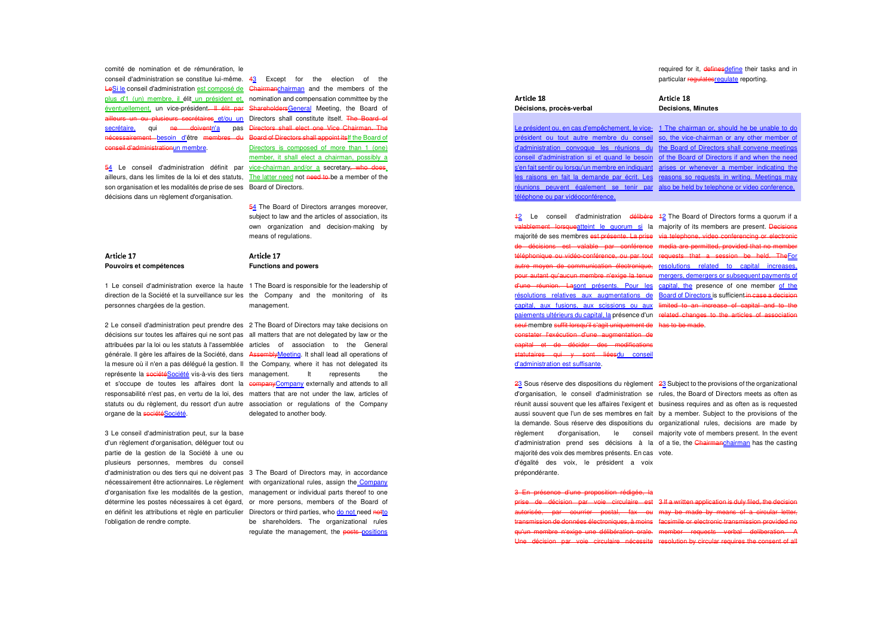comité de nomination et de rémunération, le conseil d'administration se constitue lui-même. 43 Except for the election of the LeSi le conseil d'administration est composé de Chairmanchairman and the members of the plus d'1 (un) membre, il élit un président et, nomination and compensation committee by the éventuellement, un vice-président<del>. Il élit par ShareholdersGeneral</del> Meeting, the Board of ailleurs un ou plusieurs secrétaires et/ou un Directors shall constitute itself. The Board of secrétaire, qui <del>ne doivent</del>n'a pas <del>Directors-shall-elect-one-Vice-Chairman. The</del> nécessairement—besoin d'être membres du Board of Directors shall appoint itslf the Board of conseil d'administrationun membre.

ailleurs, dans les limites de la loi et des statuts, The latter need not need to be a member of the son organisation et les modalités de prise de ses Board of Directors. décisions dans un règlement d'organisation.

54 Le conseil d'administration définit par vice-chairman and/or a secretary<del>, who does</del>. Directors is composed of more than 1 (one) member, it shall elect a chairman, possibly a

54 The Board of Directors arranges moreover.

subject to law and the articles of association, its own organization and decision-making by means of regulations.

#### ;<=>?@ADt**Pouvoirs et compétences** ;<=>?@ADt**Functions and powers**

 personnes chargées de la gestion. management. 1 Le conseil d'administration exerce la haute 1 The Board is responsible for the leadership of direction de la Société et la surveillance sur les the Company and the monitoring of its

2 Le conseil d'administration peut prendre des 2 The Board of Directors may take decisions on décisions sur toutes les affaires qui ne sont pas all matters that are not delegated by law or the attribuées par la loi ou les statuts à l'assemblée articles of association to the General générale. Il gère les affaires de la Société, dans AssemblyMeeting. It shall lead all operations of la mesure où il n'en a pas délégué la gestion. Il the Company, where it has not delegated its représente la sociétéSociété vis-à-vis des tiers management. It represents the et s'occupe de toutes les affaires dont la <del>companyCompany</del> externally and attends to all responsabilité n'est pas, en vertu de la loi, des matters that are not under the law, articles of statuts ou du règlement, du ressort d'un autre association or regulations of the Company organe de la sociétéSociété. delegated to another body.

3 Le conseil d'administration peut, sur la base d'un règlement d'organisation, déléguer tout ou partie de la gestion de la Société à une ou plusieurs personnes, membres du conseil d'administration ou des tiers qui ne doivent pas 3 The Board of Directors may, in accordance nécessairement être actionnaires. Le règlement with organizational rules, assign the Company d'organisation fixe les modalités de la gestion, management or individual parts thereof to one détermine les postes nécessaires à cet égard, or more persons, members of the Board of en définit les attributions et règle en particulier Directors or third parties, who do not need notto l'obligation de rendre compte.

 be shareholders. The organizational rules regulate the management, the posts positions

required for it, definesdefine their tasks and in particular regulatesregulate reporting.

## Article 18 **Décisions, procès-verbal**

Le président ou, en cas d'empêchement, le vice-1 The chairman or, should he be unable to do téléphone ou par vidéoconférence.

Article 18 **Decisions, Minutes** 

 d'administration convoque les réunions du the Board of Directors shall convene meetings président ou tout autre membre du conseil so, the vice-chairman or any other member of conseil d'administration si et quand le besoin of the Board of Directors if and when the need s'en fait sentir ou lorsqu'un membre en indiquant arises or whenever a member indicating the les raisons en fait la demande par écrit. Les reasons so requests in writing. Meetings may réunions peuvent également se tenir par also be held by telephone or video conference.

12 Le conseil d'administration <del>délibère</del> 12 The Board of Directors forms a quorum if a valablement lorsqueatteint le quorum si la majority of its members are present. Decisions majorité de ses membres <del>est présente. La prise via telephone, video conferencing or electronic</del> de décisions est valable par conférence media are permitted, provided that no member téléphonique ou vidéo-conférence, ou par tout requests that a session be held. TheFor autre moyen de communication électronique, resolutions related to capital increases. pour autant qu'aucun membre n'exige la tenue mergers, demergers or subsequent payments of d'une réunion. Lasont présents. Pour les capital, the presence of one member of the résolutions relatives aux augmentations de Board of Directors is sufficient <del>in case a decision</del> capital, aux fusions, aux scissions ou aux limited to an increase of capital and to the paiements ultérieurs du capital, la présence d'un related changes to the articles of association seul membre suffit lorsqu'il s'agit uniquement de has to be made. constater l'exécution d'une augmentation de capital et de décider des modifications statutaires qui y sont liéesdu conseil d'administration est suffisante.

majorité des voix des membres présents. En cas vote. d'égalité des voix, le président a voix prépondérante.

23 Sous réserve des dispositions du règlement 23 Subject to the provisions of the organizational d'organisation, le conseil d'administration se rules, the Board of Directors meets as often as réunit aussi souvent que les affaires l'exigent et business requires and as often as is requested aussi souvent que l'un de ses membres en fait by a member. Subject to the provisions of the la demande. Sous réserve des dispositions du organizational rules, decisions are made by règlement d'organisation, le conseil majority vote of members present. In the event d'administration prend ses décisions à la of a tie, the <del>Chairmanchairman</del> has the casting

#### 3 En présence d'une proposition rédigée, la

prise de décision par voie circulaire est 3 If a written application is duly filed, the decision autorisée, par courrier postal, fax ou may be made by means of a circular letter, transmission de données électroniques, à moins facsimile or electronic transmission provided no qu'un membre n'exige une délibération orale. member requests verbal deliberation. A Une décision par voie circulaire nécessite resolution by circular requires the consent of all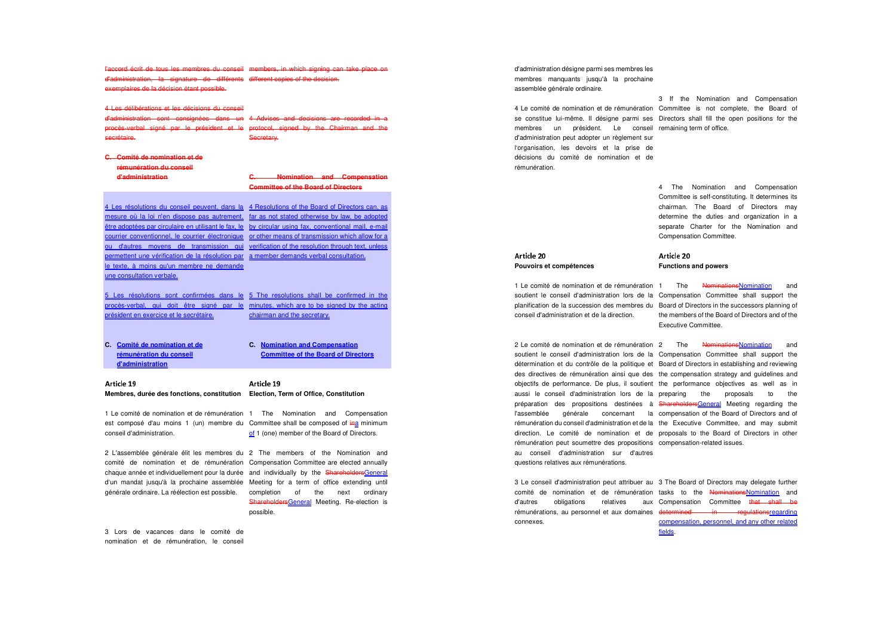l'accord écrit de tous les membres du conseil d'administration, la signature de différents different copies of the decision.exemplaires de la décision étant possible. members, in which signing can take place on

## 4 Les délibérations et les décisions du conseil

 d'administration sont consignées dans un 4 Advises and decisions are recorded in a procès-verbal signé par le président et le protocol, signed by the Chairman and the Secretary.

#### **C. Comité de nomination et de rémunération du conseil**

secrétaire.

**d'administration**

#### **C. Nomination and Compensation Committee of the Board of Directors**

4 Les résolutions du conseil peuvent, dans la 4 Resolutions of the Board of Directors can, as mesure où la loi n'en dispose pas autrement, far as not stated otherwise by law, be adopted être adoptées par circulaire en utilisant le fax, le by circular using fax, conventional mail, e-mail courrier conventionnel, le courrier électronique or other means of transmission which allow for a ou d'autres moyens de transmission qui verification of the resolution through text, unless permettent une vérification de la résolution par a member demands verbal consultation.le texte, à moins qu'un membre ne demande une consultation verbale.

#### 5 Les résolutions sont confirmées dans le 5 The resolutions shall be confirmed in the procès-verbal, qui doit être signé par le minutes, which are to be signed by the acting président en exercice et le secrétaire.chairman and the secretary.

**C. Comité de nomination et de rémunération du conseil d'administration**

**C. Nomination and Compensation Committee of the Board of Directors**

#### Article 19 Article 19 ;<=>?@ADC;<=>?@ADC**Membres, durée des fonctions, constitution Election, Term of Office, Constitution**

 conseil d'administration. of 1 (one) member of the Board of Directors. 1 Le comité de nomination et de rémunération 1 The Nomination and Compensation est composé d'au moins 1 (un) membre du Committee shall be composed of ina minimum

2 L'assemblée générale élit les membres du 2 The members of the Nomination and comité de nomination et de rémunération Compensation Committee are elected annually chaque année et individuellement pour la durée and individually by the ShareholdersGeneral d'un mandat jusqu'à la prochaine assemblée Meeting for a term of office extending until générale ordinaire. La réélection est possible. completion of the next ordinary

ShareholdersGeneral Meeting. Re-election is possible.

3 Lors de vacances dans le comité de nomination et de rémunération, le conseil d'administration désigne parmi ses membres les membres manquants jusqu'à la prochaine assemblée générale ordinaire.

4 Le comité de nomination et de rémunération Committee is not complete, the Board of se constitue lui-même. Il désigne parmi ses Directors shall fill the open positions for the membres un président. Le conseil remaining term of office. d'administration peut adopter un règlement sur l'organisation, les devoirs et la prise de décisions du comité de nomination et de rémunération.

# 3 If the Nomination and Compensation

4 The Nomination and Compensation Committee is self-constituting. It determines its chairman. The Board of Directors may determine the duties and organization in a separate Charter for the Nomination and Compensation Committee.

#### ;<=>?@AWE**Pouvoirs et compétences**

1 Le comité de nomination et de rémunération 1 de The de <del>Nominations</del>Nomination and conseil d'administration et de la direction.

rémunération peut soumettre des propositions compensation-related issues. au conseil d'administration sur d'autres questions relatives aux rémunérations.

 planification de la succession des membres du Board of Directors in the successors planning of soutient le conseil d'administration lors de la Compensation Committee shall support the the members of the Board of Directors and of the Executive Committee.

;<=>?@AWE**Functions and powers** 

2 Le comité de nomination et de rémunération 2 de The de <del>Nominations</del>Nomination and and soutient le conseil d'administration lors de la Compensation Committee shall support the détermination et du contrôle de la politique et Board of Directors in establishing and reviewing des directives de rémunération ainsi que des the compensation strategy and guidelines and objectifs de performance. De plus, il soutient the performance objectives as well as in aussi le conseil d'administration lors de la preparing the proposals to the préparation des propositions destinées à <del>ShareholdersGeneral</del> Meeting regarding the l'assemblée générale concernant la compensation of the Board of Directors and of rémunération du conseil d'administration et de la the Executive Committee, and may submit direction. Le comité de nomination et de proposals to the Board of Directors in other

3 Le conseil d'administration peut attribuer au 3 The Board of Directors may delegate further comité de nomination et de rémunération tasks to the NominationsNomination and d'autres obligations relatives aux Compensation Committee <del>that shall b</del>e rémunérations, au personnel et aux domaines determined in regulationsregarding connexes. compensation, personnel, and any other related

fields.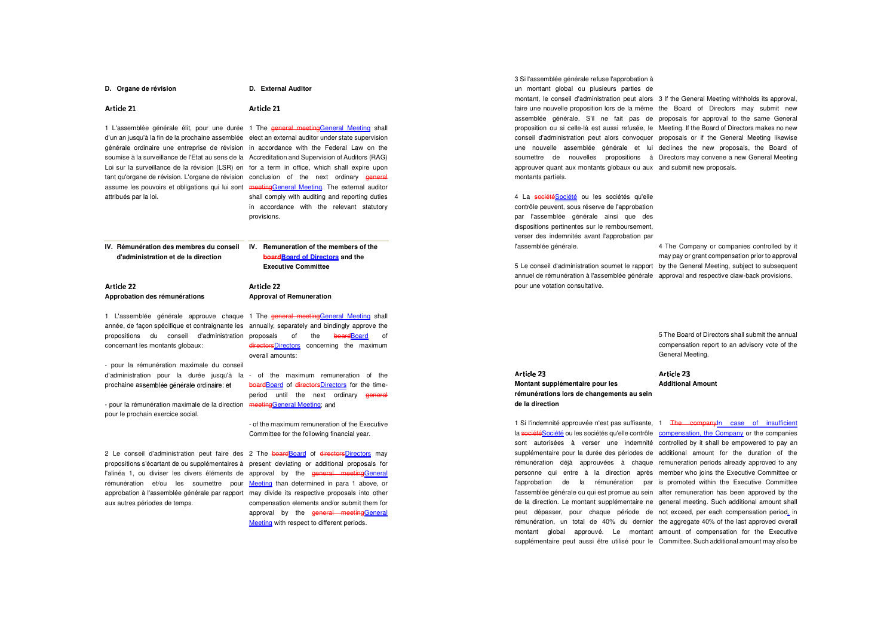#### **D.** Organe de révision **D. External Auditor**

#### ;<=>?@AWD;<=>?@AWD

 soumise à la surveillance de l'Etat au sens de la Accreditation and Supervision of Auditors (RAG) 1 L'assemblée générale élit, pour une durée 1 The <del>general meeting<u>General Meeting</u> sha</del>ll d'un an jusqu'à la fin de la prochaine assemblée elect an external auditor under state supervision générale ordinaire une entreprise de révision in accordance with the Federal Law on the Loi sur la surveillance de la révision (LSR) en for a term in office, which shall expire upon tant qu'organe de révision. L'organe de révision conclusion of the next ordinary g<del>eneral</del> assume les pouvoirs et obligations qui lui sont meetingGeneral Meeting. The external auditor attribués par la loi.

 shall comply with auditing and reporting duties in accordance with the relevant statutory provisions.

> **boardBoard of Directors and the Executive Committee**

**IV. Rémunération des membres du conseil IV. Remuneration of the members of the d'administration et de la direction** 

Article 22 ;<=>?@AWW**Approbation des rémunérations**  Article 22 ;<=>?@AWW**Approval of Remuneration** 

propositions du conseil d'administration proposals of the <del>board<u>Board</u> of</del> 1 L'assemblée générale approuve chaque 1 The <del>general meeting<u>General Meeting</u> s</del>hall année, de façon spécifique et contraignante les annually, separately and bindingly approve the concernant les montants globaux: directorsDirectors concerning the maximum overall amounts:

- pour la rémunération maximale du conseil

d'administration pour la durée jusqu'à la - of the maximum remuneration of the prochaine assemblée générale ordinaire; et

- pour la rémunération maximale de la direction e meetingGeneral Meeting; an pour le prochain exercice social.

> - of the maximum remuneration of the Executive Committee for the following financial year.

> boardBoard of directorsDirectors for the timeperiod until the next ordinary **general**

2 Le conseil d'administration peut faire des 2 The <del>board<u>Board</u> of <del>directors</del>Directors</u> may</del> aux autres périodes de temps.

 propositions s'écartant de ou supplémentaires à present deviating or additional proposals for l'alinéa 1, ou diviser les divers éléments de approval by the <del>general meeting<u>General</u></del> rémunération et/ou les soumettre pour Meeting than-determined-in-para-1 above, or approbation à l'assemblée générale par rapport may divide its respective proposals into other compensation elements and/or submit them for approval by the **general meetingGeneral Meeting** with respect to different periods.

3 Si l'assemblée générale refuse l'approbation à

un montant global ou plusieurs parties de montant, le conseil d'administration peut alors 3 If the General Meeting withholds its approval,

 faire une nouvelle proposition lors de la même the Board of Directors may submit new assemblée générale. S'il ne fait pas de proposals for approval to the same General proposition ou si celle-là est aussi refusée, le Meeting. If the Board of Directors makes no new conseil d'administration peut alors convoquer proposals or if the General Meeting likewise une nouvelle assemblée générale et lui declines the new proposals, the Board of soumettre de nouvelles propositions à Directors may convene a new General Meeting approuver quant aux montants globaux ou aux and submit new proposals. montants partiels.

4 La sociétéSociété ou les sociétés qu'elle contrôle peuvent, sous réserve de l'approbation par l'assemblée générale ainsi que des dispositions pertinentes sur le remboursement, verser des indemnités avant l'approbation par l'assemblée générale.

pour une votation consultative.

;<=>?@AWX

Article 23

5 Le conseil d'administration soumet le rapport by the General Meeting, subject to subsequent annuel de rémunération à l'assemblée générale approval and respective claw-back provisions. 4 The Company or companies controlled by it may pay or grant compensation prior to approval

> 5 The Board of Directors shall submit the annual compensation report to an advisory vote of the General Meeting.

## ;<=>?@AWX

**Montant supplémentaire pour les rémunérations lors de changements au sein de la direction** 

1 Si l'indemnité approuvée n'est pas suffisante, 1 <del>The company</del><u>In case of insufficient</u> la société Société ou les sociétés qu'elle contrôle compensation, the Company or the companies sont autorisées à verser une indemnité controlled by it shall be empowered to pay an supplémentaire pour la durée des périodes de additional amount for the duration of the rémunération déjà approuvées à chaque remuneration periods already approved to any personne qui entre à la direction après member who joins the Executive Committee or l'approbation de la rémunération par is promoted within the Executive Committee l'assemblée générale ou qui est promue au sein after remuneration has been approved by the de la direction. Le montant supplémentaire ne general meeting. Such additional amount shall peut dépasser, pour chaque période de not exceed, per each compensation period, in rémunération, un total de 40% du dernier the aggregate 40% of the last approved overall montant global approuvé. Le montant amount of compensation for the Executive

supplémentaire peut aussi être utilisé pour le Committee. Such additional amount may also be

Article 23 **Additional Amount**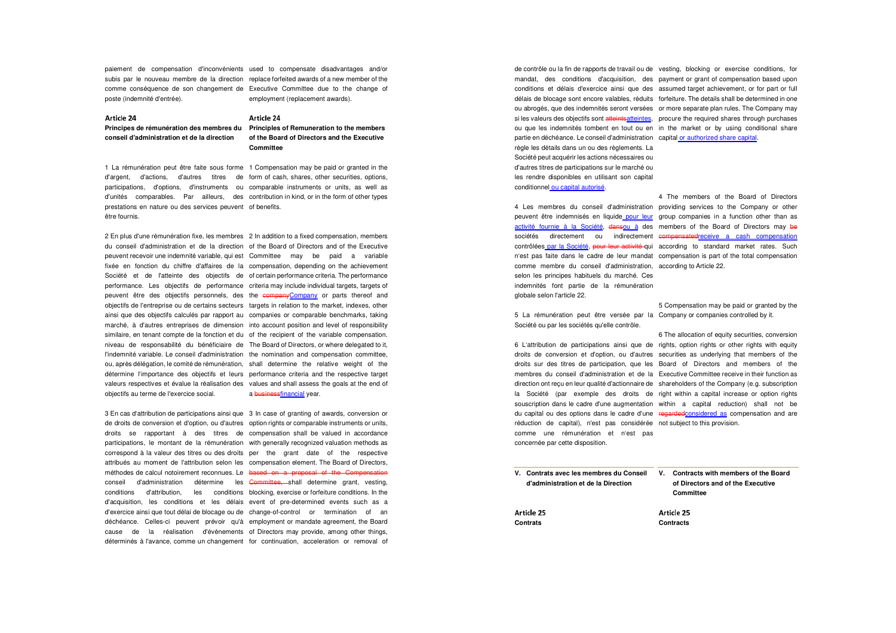paiement de compensation d'inconvénients used to compensate disadvantages and/or subis par le nouveau membre de la direction replace forfeited awards of a new member of the comme conséquence de son changement de Executive Committee due to the change of poste (indemnité d'entrée). employment (replacement awards).

Article 24 . . . . . . .

#### Article 24 . . . . . . .

**conseil d'administration et de la direction** 

**Principes de rémunération des membres du Principles of Remuneration to the members of the Board of Directors and the Executive Committee** 

 1 La rémunération peut être faite sous forme 1 Compensation may be paid or granted in the d'argent, d'actions, d'autres titres de form of cash, shares, other securities, options, participations, d'options, d'instruments ou comparable instruments or units, as well as d'unités comparables. Par ailleurs, des contribution in kind, or in the form of other types prestations en nature ou des services peuvent of benefits. être fournis.

2 En plus d'une rémunération fixe, les membres 2 In addition to a fixed compensation, members du conseil d'administration et de la direction of the Board of Directors and of the Executive peuvent recevoir une indemnité variable, qui est Committee may be paid a variable fixée en fonction du chiffre d'affaires de la compensation, depending on the achievement Société et de l'atteinte des objectifs de of certain performance criteria. The performance performance. Les objectifs de performance criteria may include individual targets, targets ofpeuvent être des objectifs personnels, des the companyCompany or parts thereof and objectifs de l'entreprise ou de certains secteurs targets in relation to the market, indexes, other ainsi que des objectifs calculés par rapport au companies or comparable benchmarks, taking marché, à d'autres entreprises de dimension into account position and level of responsibility similaire, en tenant compte de la fonction et du of the recipient of the variable compensation. niveau de responsabilité du bénéficiaire de The Board of Directors, or where delegated to it, l'indemnité variable. Le conseil d'administration the nomination and compensation committee, ou, après délégation, le comité de rémunération, shall determine the relative weight of the détermine l'importance des objectifs et leurs performance criteria and the respective target valeurs respectives et évalue la réalisation des values and shall assess the goals at the end of objectifs au terme de l'exercice social. a businessfinancial year.

3 En cas d'attribution de participations ainsi que 3 In case of granting of awards, conversion or de droits de conversion et d'option, ou d'autres option rights or comparable instruments or units, droits se rapportant à des titres de compensation shall be valued in accordance participations, le montant de la rémunération with generally recognized valuation methods as correspond à la valeur des titres ou des droits per the grant date of the respective attribués au moment de l'attribution selon les compensation element. The Board of Directors, méthodes de calcul notoirement reconnues. Le based on a proposal of the Compensation conseil d'administration détermine les Committee, shall determine grant, vesting, conditions d'attribution, les conditions blocking, exercise or forfeiture conditions. In thed'acquisition, les conditions et les délais event of pre-determined events such as a d'exercice ainsi que tout délai de blocage ou de change-of-control or termination of an déchéance. Celles-ci peuvent prévoir qu'à employment or mandate agreement, the Board cause de la réalisation d'évènements of Directors may provide, among other things, déterminés à l'avance, comme un changement for continuation, acceleration or removal of

de contrôle ou la fin de rapports de travail ou de vesting, blocking or exercise conditions, for mandat, des conditions d'acquisition, des payment or grant of compensation based upon conditions et délais d'exercice ainsi que des assumed target achievement, or for part or full délais de blocage sont encore valables, réduits forfeiture. The details shall be determined in one ou abrogés, que des indemnités seront versées or more separate plan rules. The Company may si les valeurs des objectifs sont <del>atteints<u>atteintes</u>, p</del>rocure the required shares through purchases ou que les indemnités tombent en tout ou en in the market or by using conditional share partie en déchéance. Le conseil d'administration capital or authorized share capital. règle les détails dans un ou des règlements. La Société peut acquérir les actions nécessaires ou d'autres titres de participations sur le marché ou les rendre disponibles en utilisant son capital conditionnel ou capital autorisé.

comme membre du conseil d'administration, according to Article 22. selon les principes habituels du marché. Ces indemnités font partie de la rémunération globale selon l'article 22.

5 La rémunération peut être versée par la Company or companies controlled by it. Société ou par les sociétés qu'elle contrôle.

 réduction de capital), n'est pas considérée not subject to this provision. comme une rémunération et n'est pas concernée par cette disposition.

4 Les membres du conseil d'administration providing services to the Company or other peuvent être indemnisés en liquide pour leur group companies in a function other than as activité fournie à la Société, dansou à des members of the Board of Directors may be sociétés directement ou indirectement eompensatedreceive a cash compensation contrôlées par la Société, pour leur activité qui according to standard market rates. Such n'est pas faite dans le cadre de leur mandat compensation is part of the total compensation 4 The members of the Board of Directors

5 Compensation may be paid or granted by the

6 L'attribution de participations ainsi que de rights, option rights or other rights with equity droits de conversion et d'option, ou d'autres securities as underlying that members of the droits sur des titres de participation, que les Board of Directors and members of the membres du conseil d'administration et de la Executive Committee receive in their function as direction ont reçu en leur qualité d'actionnaire de shareholders of the Company (e.g. subscription la Société (par exemple des droits de right within a capital increase or option rights souscription dans le cadre d'une augmentation within a capital reduction) shall not be du capital ou des options dans le cadre d'une regardedconsidered as compensation and are 6 The allocation of equity securities, conversion

| V. Contrats avec les membres du Conseil<br>d'administration et de la Direction | Contracts with members of the Board<br>V.<br>of Directors and of the Executive<br>Committee |
|--------------------------------------------------------------------------------|---------------------------------------------------------------------------------------------|
| Article 25                                                                     | Article 25                                                                                  |
| Contrats                                                                       | <b>Contracts</b>                                                                            |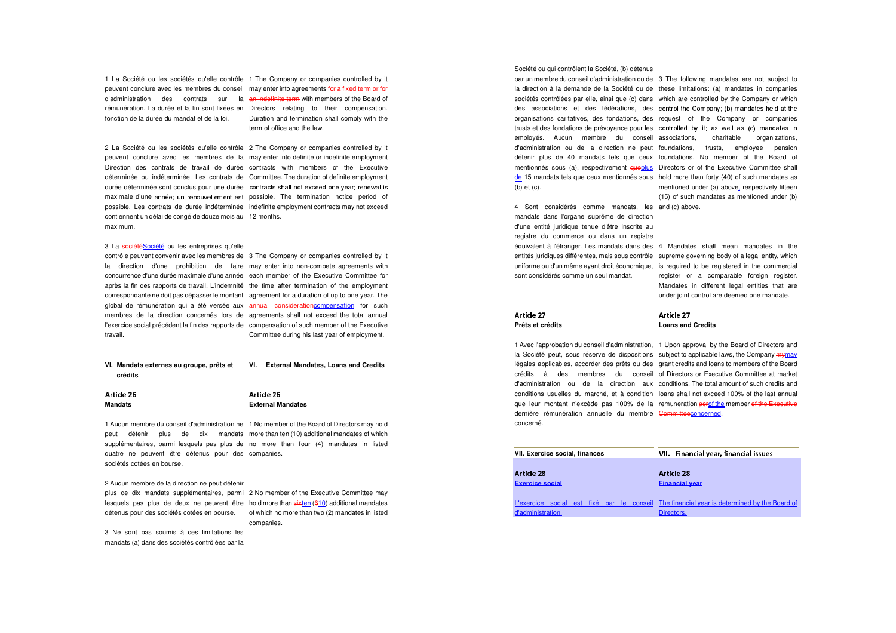1 La Société ou les sociétés qu'elle contrôle 1 The Company or companies controlled by it peuvent conclure avec les membres du conseil may enter into agreements for a fixed term or for d'administration des contrats sur la <del>an-indefinite-term</del>-with-members-of-the-Board-ofrémunération. La durée et la fin sont fixées en Directors relating to their compensation. fonction de la durée du mandat et de la loi. Duration and termination shall comply with the term of office and the law.

2 La Société ou les sociétés qu'elle contrôle 2 The Company or companies controlled by it peuvent conclure avec les membres de la may enter into definite or indefinite employment Direction des contrats de travail de durée contracts with members of the Executive déterminée ou indéterminée. Les contrats de Committee. The duration of definite employment durée déterminée sont conclus pour une durée contracts shall not exceed one year; renewal i maximale d'une année; un renouvellement est possible. The termination notice period of possible. Les contrats de durée indéterminée indefinite employment contracts may not exceed contiennent un délai de congé de douze mois au 12 months. maximum.

## 3 La société Société ou les entreprises qu'elle

 contrôle peuvent convenir avec les membres de 3 The Company or companies controlled by it la direction d'une prohibition de faire may enter into non-compete agreements with concurrence d'une durée maximale d'une année each member of the Executive Committee for après la fin des rapports de travail. L'indemnité the time after termination of the employment correspondante ne doit pas dépasser le montant agreement for a duration of up to one year. The global de rémunération qui a été versée aux <del>annual-consideration<u>compensation</u> for such</del> membres de la direction concernés lors de agreements shall not exceed the total annual l'exercice social précédent la fin des rapports de compensation of such member of the Executive travail. Committee during his last year of employment.

**VI. Mandats externes au groupe, prêts et crédits VI. External Mandates, Loans and Credits** 

| Article 26     | Article 26               |
|----------------|--------------------------|
| <b>Mandats</b> | <b>External Mandates</b> |

 supplémentaires, parmi lesquels pas plus de no more than four (4) mandates in listed 1 Aucun membre du conseil d'administration ne 1 No member of the Board of Directors may hold peut détenir plus de dix mandats more than ten (10) additional mandates of which quatre ne peuvent être détenus pour des companies. sociétés cotées en bourse.

2 Aucun membre de la direction ne peut détenir

plus de dix mandats supplémentaires, parmi 2 No member of the Executive Committee may lesquels pas plus de deux ne peuvent être hold more than sixten (610) additional mandates  $\,$ détenus pour des sociétés cotées en bourse. of which no more than two (2) mandates in listed

companies.

3 Ne sont pas soumis à ces limitations les mandats (a) dans des sociétés contrôlées par la

#### Société ou qui contrôlent la Société, (b) détenus

(b) et (c).

4 Sont considérés comme mandats, les and (c) above. mandats dans l'organe suprême de direction d'une entité juridique tenue d'être inscrite au registre du commerce ou dans un registre équivalent à l'étranger. Les mandats dans des 4 Mandates shall mean mandates in the entités juridiques différentes, mais sous contrôle supreme governing body of a legal entity, which uniforme ou d'un même ayant droit économique, is required to be registered in the commercial sont considérés comme un seul mandat.

par un membre du conseil d'administration ou de 3 The following mandates are not subject to la direction à la demande de la Société ou de these limitations: (a) mandates in companies sociétés contrôlées par elle, ainsi que (c) dans which are controlled by the Company or which des associations et des fédérations, des control the Company; (b) mandates held at the organisations caritatives, des fondations, des request of the Company or companies trusts et des fondations de prévoyance pour les controlled by it; as well as (c) mandates i employés. Aucun membre du conseil associations, charitable organizations, d'administration ou de la direction ne peut foundations, trusts, employee pension détenir plus de 40 mandats tels que ceux foundations. No member of the Board of mentionnés sous (a), respectivement queplus Directors or of the Executive Committee shall de 15 mandats tels que ceux mentionnés sous hold more than forty (40) of such mandates as mentioned under (a) above, respectively fifteen (15) of such mandates as mentioned under (b)

> register or a comparable foreign register. Mandates in different legal entities that are under joint control are deemed one mandate.

#### Article 27 . . . . . . .

**Prêts et crédits** 

dernière rémunération annuelle du membre <del>Committee</del>concerned. concerné.

#### Article 27 . . . . . . . **Loans and Credits**

 légales applicables, accorder des prêts ou des grant credits and loans to members of the Board 1 Avec l'approbation du conseil d'administration, 1 Upon approval by the Board of Directors and la Société peut, sous réserve de dispositions subject to applicable laws, the Company mymay crédits à des membres du conseil of Directors or Executive Committee at market d'administration ou de la direction aux conditions. The total amount of such credits and conditions usuelles du marché, et à condition loans shall not exceed 100% of the last annual que leur montant n'excède pas 100% de la remuneration <del>per</del>of the member <del>of the Executive</del>

| VII. Exercice social, finances | Financial year, financial issues<br>VII.                                                   |
|--------------------------------|--------------------------------------------------------------------------------------------|
|                                |                                                                                            |
| Article 28                     | Article 28                                                                                 |
| <b>Exercice social</b>         | <b>Financial vear</b>                                                                      |
|                                |                                                                                            |
|                                | L'exercice social est fixé par le conseil The financial year is determined by the Board of |
| d'administration.              | Directors.                                                                                 |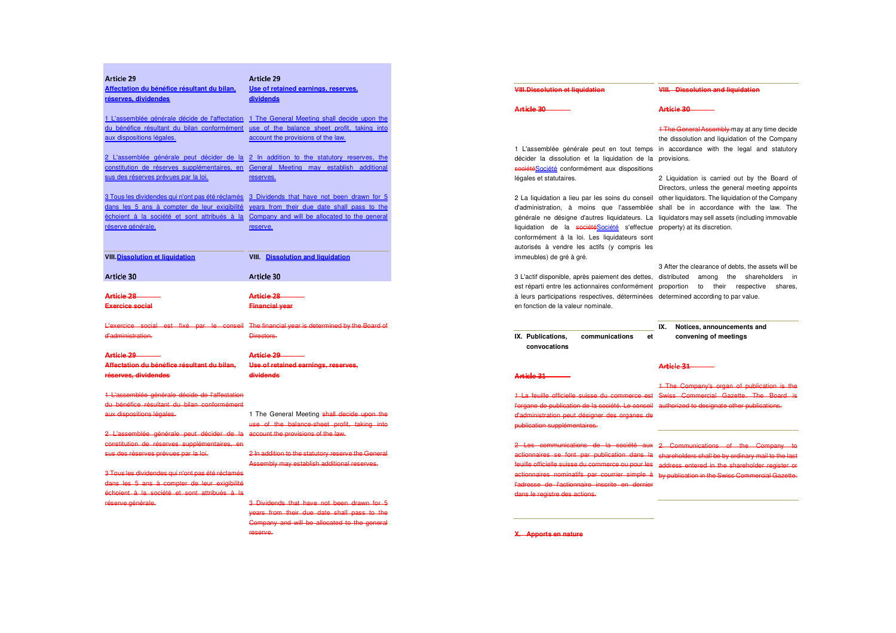| Article 29                                       | Article 29                                                                                 |
|--------------------------------------------------|--------------------------------------------------------------------------------------------|
| Affectation du bénéfice résultant du bilan.      | Use of retained earnings, reserves,                                                        |
| réserves, dividendes                             | dividends                                                                                  |
| 1 L'assemblée générale décide de l'affectation   | 1 The General Meeting shall decide upon the                                                |
| du bénéfice résultant du bilan conformément      | use of the balance sheet profit, taking into                                               |
| aux dispositions légales.                        | account the provisions of the law.                                                         |
|                                                  |                                                                                            |
| 2 L'assemblée générale peut décider de la        | 2 In addition to the statutory reserves, the                                               |
| constitution de réserves supplémentaires, en     | General Meeting may establish additional                                                   |
| sus des réserves prévues par la loi.             | reserves.                                                                                  |
| 3 Tous les dividendes qui n'ont pas été réclamés | 3 Dividends that have not been drawn for 5                                                 |
| dans les 5 ans à compter de leur exigibilité     | years from their due date shall pass to the                                                |
| échoient à la société et sont attribués à la     | Company and will be allocated to the general                                               |
| réserve générale.                                | reserve.                                                                                   |
|                                                  |                                                                                            |
|                                                  |                                                                                            |
| VIII. Dissolution et liquidation                 | <b>VIII.</b> Dissolution and liquidation                                                   |
| <b>Article 30</b>                                | Article 30                                                                                 |
|                                                  |                                                                                            |
| Article 28-                                      | <del>Article 28 -</del>                                                                    |
| Exercice social                                  | <b>Financial year</b>                                                                      |
|                                                  | L'exercice social est fixé par le conseil The financial year is determined by the Board of |
| d'administration.                                | Directors.                                                                                 |
|                                                  |                                                                                            |
| <del>Article 29-</del>                           | <del>Article 29 —</del>                                                                    |
| Affectation du bénéfice résultant du bilan,      | Use of retained earnings, reserves,                                                        |
| réserves, dividendes                             | dividends                                                                                  |
| 1 L'assemblée générale décide de l'affectation   |                                                                                            |
| du bénéfice résultant du bilan conformément      |                                                                                            |
| aux dispositions légales.                        | 1 The General Meeting shall decide upon the                                                |
|                                                  | use of the balance sheet profit, taking into                                               |
| 2 L'assemblée générale peut décider de la        | account the provisions of the law.                                                         |
| constitution de réserves supplémentaires, en     |                                                                                            |
| sus des réserves prévues par la loi.             | 2 In addition to the statutory reserve the General                                         |
|                                                  | Assembly may establish additional reserves.                                                |
| 3 Tous les dividendes qui n'ont pas été réclamés |                                                                                            |
| dans les 5 ans à compter de leur exigibilité     |                                                                                            |
| échoient à la société et sont attribués à la     |                                                                                            |
| réserve générale.                                | 3 Dividends that have not been drawn for 5                                                 |
|                                                  | years from their due date shall pass to the                                                |
|                                                  | Company and will be allocated to the general                                               |
|                                                  | reserve.                                                                                   |
|                                                  |                                                                                            |

| <b>VIII.Dissolution et liquidation</b>                                                                                                                                                                                                                                                                                                                                                                                                                                  | VIII. Dissolution and liquidation                                                                                                                                                                                                                                                                                                                                                                                                                          |
|-------------------------------------------------------------------------------------------------------------------------------------------------------------------------------------------------------------------------------------------------------------------------------------------------------------------------------------------------------------------------------------------------------------------------------------------------------------------------|------------------------------------------------------------------------------------------------------------------------------------------------------------------------------------------------------------------------------------------------------------------------------------------------------------------------------------------------------------------------------------------------------------------------------------------------------------|
| Article 30                                                                                                                                                                                                                                                                                                                                                                                                                                                              | Article 30                                                                                                                                                                                                                                                                                                                                                                                                                                                 |
| 1 L'assemblée générale peut en tout temps<br>décider la dissolution et la liquidation de la<br>sociétéSociété conformément aux dispositions<br>légales et statutaires.<br>2 La liquidation a lieu par les soins du conseil<br>d'administration, à moins que l'assemblée<br>générale ne désigne d'autres liquidateurs. La<br>liquidation de la sociétéSociété s'effectue<br>conformément à la loi. Les liquidateurs sont<br>autorisés à vendre les actifs (y compris les | <b>1 The General Assembly may at any time decide</b><br>the dissolution and liquidation of the Company<br>in accordance with the legal and statutory<br>provisions.<br>2 Liquidation is carried out by the Board of<br>Directors, unless the general meeting appoints<br>other liquidators. The liquidation of the Company<br>shall be in accordance with the law. The<br>liquidators may sell assets (including immovable<br>property) at its discretion. |
| immeubles) de gré à gré.<br>3 L'actif disponible, après paiement des dettes,<br>est réparti entre les actionnaires conformément<br>à leurs participations respectives, déterminées<br>en fonction de la valeur nominale.                                                                                                                                                                                                                                                | 3 After the clearance of debts, the assets will be<br>distributed<br>among<br>the<br>shareholders<br>in<br>proportion<br>their<br>respective<br>to<br>shares.<br>determined according to par value.                                                                                                                                                                                                                                                        |
| communications<br>IX. Publications.<br>et<br>convocations                                                                                                                                                                                                                                                                                                                                                                                                               | IX.<br>Notices, announcements and<br>convening of meetings                                                                                                                                                                                                                                                                                                                                                                                                 |
|                                                                                                                                                                                                                                                                                                                                                                                                                                                                         | Article 31                                                                                                                                                                                                                                                                                                                                                                                                                                                 |
|                                                                                                                                                                                                                                                                                                                                                                                                                                                                         |                                                                                                                                                                                                                                                                                                                                                                                                                                                            |
| Article 31<br>1 La feuille officielle suisse du commerce est<br>l'organe de publication de la société. Le conseil authorized to designate other publications.<br>d'administration peut désigner des organes de<br>publication supplémentaires.                                                                                                                                                                                                                          | 1 The Company's organ of publication is the<br>Swiss Commercial Gazette. The Board is                                                                                                                                                                                                                                                                                                                                                                      |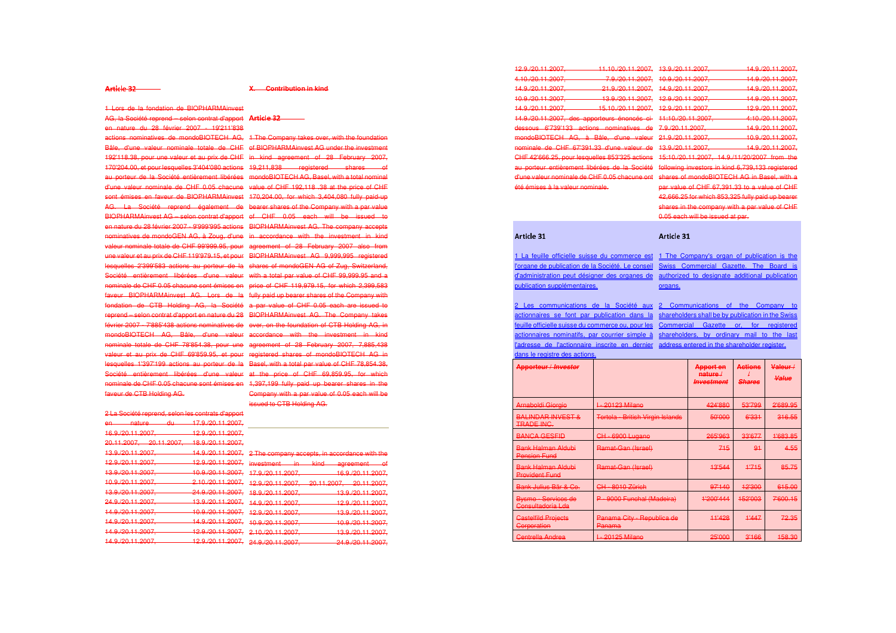#### Article 32 ¦

#### **X. Contribution in kind**

1 Lors de la fondation de BIOPHARMAinvest

AG, la Société reprend – selon contrat d'apport **Article 3** en nature du 28 février 2007 - 19'211'838

 actions nominatives de mondoBIOTECH AG, 1 The Company takes over, with the foundation Bâle, d'une valeur nominale totale de CHF of BIOPHARMAinvest AG under the investment 192'118.38, pour une valeur et au prix de CHF in kind agreement of 28 February 2007, 170'204.00, et pour lesquelles 3'404'080 actions 19,211,838 registered shares of au porteur de la Société entièrement libérées mondoBIOTECH AG, Basel, with a total nominal d'une valeur nominale de CHF 0.05 chacune value of CHF 192,118 .38 at the price of CHF sont émises en faveur de BIOPHARMAinvest 170,204.00, for which 3,404,080 fully paid-up AG. La Société reprend également de bearer shares of the Company with a par value BIOPHARMAinvest AG – selon contrat d'apport of CHF 0.05 each will be issued to en nature du 28 février 2007 - 9'999'995 actions BIOPHARMAinvest AG. The company accepts nominatives de mondoGEN AG, à Zoug, d'une in accordance with the investment in kind valeur nominale totale de CHF 99'999.95, pour agreement of 28 February 2007 also from une valeur et au prix de CHF 119'979.15, et pour BIOPHARMAinvest AG 9,999,995 registered lesquelles 2'399'583 actions au porteur de la shares of mondoGEN AG of Zug, Switzerland, Société entièrement libérées d'une valeur with a total par value of CHF 99,999.95 and a nominale de CHF 0.05 chacune sont émises en price of CHF 119,979.15, for which 2,399,583 faveur BIOPHARMAinvest AG. Lors de la fully paid up bearer shares of the Company with fondation de CTB Holding AG, la Société a par value of CHF 0.05 each are issued to reprend – selon contrat d'apport en nature du 28 BIOPHARMAinvest AG. The Company takes février 2007 - 7'885'438 actions nominatives de over, on the foundation of CTB Holding AG, in mondoBIOTECH AG, Bâle, d'une valeur accordance with the investment in kind nominale totale de CHF 78'854.38, pour une agreement of 28 February 2007, 7,885,438 valeur et au prix de CHF 69'859.95, et pour registered shares of mondoBIOTECH AG in lesquelles 1'397'199 actions au porteur de la Basel, with a total par value of CHF 78,854.38, Société entièrement libérées d'une valeur at the price of CHF 69,859.95, for which nominale de CHF 0.05 chacune sont émises en 1,397,199 fully paid up bearer shares in the faveur de CTB Holding AG.Company with a par value of 0.05 each will be issued to CTB Holding AG.

|                              | 2 La Société reprend, selon les contrats d'apport   |
|------------------------------|-----------------------------------------------------|
| 17.9./20.11.2007.            | nature<br>d₩<br>en-                                 |
| <u>12.9./20.11.2007,</u>     | 16 Q /20 11 2007<br>10.0. EU. H. EUU I .            |
| <del>18.9./20.11.2007.</del> | 20.11.2007.<br>20.11.2007<br><del>20. H.ZUUT.</del> |
| 14.9./20.11.2007.            | 13.9./20.11.2007.                                   |
| 12.9./20.11.2007.            | <u>12.9./20.11.2007,</u>                            |
| 10.9./20.11.2007.            | <del>13.9./20.11.2007,</del>                        |
| 2.10./20.11.2007.            | 10.9./20.11.2007.                                   |
| 24.9./20.11.2007,            | 13.9./20.11.2007.                                   |
| 13.9./20.11.2007,            | <del>24.9./20.11.2007.</del>                        |
| 10.9./20.11.2007.            | 14.9./20.11.2007.                                   |
| <u>14.9./20.11.2007,</u>     | <u>14.9./20.11.2007,</u>                            |
| 12.9./20.11.2007.            | 14.9./20.11.2007.                                   |
| 12.9./20.11.2007.            | 14.9./20.11.2007.                                   |
|                              |                                                     |

12.9./20.11.2007, 11.10./20.11.2007, 13.9./20.11.2007, 14.9./20.11.2007, 4.10./20.11.2007, 7.9./20.11.2007, 10.9./20.11.2007, 14.9./20.11.2007, 14.9./20.11.2007, 21.9./20.11.2007, 14.9./20.11.2007, 14.9./20.11.2007, 10.9./20.11.2007, 13.9./20.11.2007, 12.9./20.11.2007, 14.9./20.11.2007, 14.9./20.11.2007, 15.10./20.11.2007, 12.9./20.11.2007, 12.9./20.11.2007, 14.9./20.11.2007, des apporteurs énoncés ci- 11:10./20.11.2007, 4:10./20.11.2007, dessous 6'739'133 actions nominatives de 7.9./20.11.2007, 14.9./20.11.2007, mondoBIOTECH AG, à Bâle, d'une valeur 21.9./20.11.2007, 10.9./20.11.2007, nominale de CHF 67'391.33 d'une valeur de 13.9./20.11.2007, 14.9./20.11.2007, CHF 42'666.25, pour lesquelles 853'325 actions 15:10./20.11.2007, 14.9./11/20/2007 from the au porteur entièrement libérées de la Société following investors in kind 6,739,133 registered d'une valeur nominale de CHF 0.05 chacune ont shares of mondoBIOTECH AG in Basel, with a été émises à la valeur nominale.

14 9 / 20 11 2007 14 9 /20 11 2007 12.9.02.11.2007 14 9 /20 11 2007 par value of CHF 67,391.33 to a value of CHF 42,666.25 for which 853,325 fully paid up bearer shares in the company with a par value of CHF 0.05 each will be issued at par.

#### ¦¨¦¨

1 La feuille officielle suisse du commerce est 1 The Company's organ of publication is the l'organe de publication de la Société. Le conseil Swiss Commercial Gazette. The Board is d'administration peut désigner des organes de authorized to designate additional publication publication supplémentaires.

organs.

 actionnaires se font par publication dans la shareholders shall be by publication in the Swiss feuille officielle suisse du commerce ou, pour les Commercial Gazette or, for registered actionnaires nominatifs, par courrier simple à shareholders, by ordinary mail to the last l'adresse de l'actionnaire inscrite en dernier address entered in the shareholder register.dans le registre des actions.

2 Les communications de la Société aux 2 Communications of the Company to

| <b>Apporteur / Investor</b>                       |                                         | Apport en<br>$n$ ature /<br>Investment | Actions<br>Shares | Valeur /<br>Value |
|---------------------------------------------------|-----------------------------------------|----------------------------------------|-------------------|-------------------|
| Arnaboldi Giorgio                                 | 20123 Milano                            | 424'880                                | 53'799            | 2'689.95          |
| <b>BALINDAR INVEST &amp;</b><br><b>TRADE INC.</b> | <b>Tortola - British Virgin Islands</b> | 50'000                                 | 6'331             | 316.55            |
| <b>BANCA GESFID</b>                               | CH - 6900 Lugano                        | 265'963                                | 33'677            | 1'683.85          |
| <b>Bank Halman Aldubi</b><br><b>Pension Fund</b>  | Ramat Gan (Israel)                      | 715                                    | 91                | 4.55              |
| Bank Halman Aldubi<br><b>Provident Fund</b>       | Ramat-Gan (Israel)                      | 13'544                                 | 1'715             | 85.75             |
| Bank Julius Bär & Co.                             | CH - 8010 Zürich                        | 97'140                                 | 12'300            | 615.00            |
| Bysmo - Servicos de<br>Consultadoria Lda          | 9000 Funchal (Madeira)                  | 1'200'444                              | 152'003           | 7'600.15          |
| <b>Castelfild Projects</b><br>Gorporation         | Panama City - Republica de<br>Panama    | 11'428                                 | 1'447             | 72.35             |
| Centrella Andrea                                  | <b>20125 Milano</b>                     | 25'000                                 | 3'166             | 158.30            |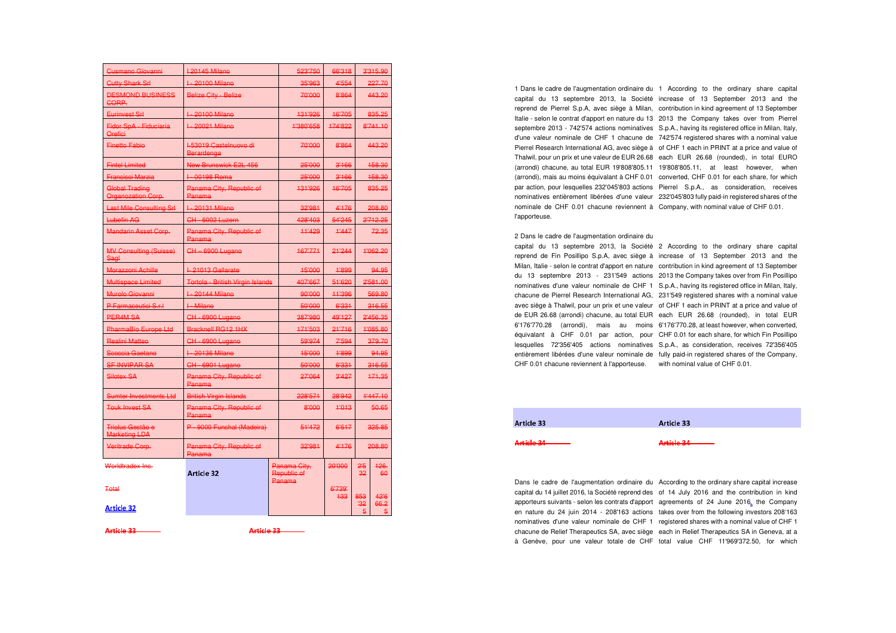| <b>Cutty Shark Srl</b><br><b>DESMOND BUSINESS</b><br>GORP. | I-20100 Milano<br><b>Belize City Belize</b>   | 35'963                      | 4'554              |           | 227.70     |
|------------------------------------------------------------|-----------------------------------------------|-----------------------------|--------------------|-----------|------------|
|                                                            |                                               |                             |                    |           |            |
|                                                            |                                               | 70'000                      | 8'864              |           | 443.20     |
| Eurinvest Srl                                              | I - 20100 Milano                              | 131'926                     | 16'705             |           | 835.25     |
| Fidor SpA - Fiduciaria<br>Orefiei                          | I - 20021 Milano                              | 1'380'658                   | 174'822            | 8'741.10  |            |
| <b>Finetto Fabio</b>                                       | I-53019 Castelnuovo di<br>Berardenga          | 70'000                      | 8'864              |           | 443.20     |
| <b>Fintel Limited</b>                                      | New Brunswick E2L 456                         | 25'000                      | 3'166              |           | 158.30     |
| <b>Francisci Marzia</b>                                    | I - 00198 Roma                                | 25'000                      | 3'166              |           | 158.30     |
| Global Trading<br><b>Organozation Corp.</b>                | Panama City, Republic of<br>Panama            | 131'926                     | 16'705             |           | 835.25     |
| <b>Last Mile Consulting Srl</b>                            | I - 20131 Milano                              | 32'981                      | 4'176              |           | 208.80     |
| Lubefin AG                                                 | CH - 6002 Luzern                              | 428'403                     | 54'245             |           | 2'712.25   |
| <b>Mandarin Asset Corp.</b>                                | Panama City, Republic of<br><del>Panama</del> | 11'429                      | 11447              |           | 72.35      |
| <b>MV Consulting (Suisse)</b><br>Sagl                      | CH-6900 Lugano                                | 167'771                     | 21'244<br>1'062.20 |           |            |
| Morazzoni Achille                                          | I-21013 Gallarate                             | 15'000                      | 1'899              |           | 94.95      |
| Multispace Limited                                         | Tortola - British Virgin Islands              | 407'667                     | 51'620             | 2'581.00  |            |
| Murolo Giovanni                                            | I - 20144 Milano                              | 90'000                      | 11'396             |           | 569.80     |
| P Farmaceutici S.r.l                                       | I Milano                                      | 50'000                      | 6'331              |           | 316.55     |
| PER4M SA                                                   | CH - 6900 Lugano                              | 387'980                     | 49'127             |           | 2'456.35   |
| PharmaBio Europe Ltd                                       | Bracknell RG12 1HX                            | 171'503                     | 21'716             | 1'085.80  |            |
| <b>Realini Matteo</b>                                      | CH 6900 Lugano                                | 59'974                      | 7'594              |           | 379.70     |
| Scoccia Gaetano                                            | I - 20136 Milano                              | 15'000                      | 1'899              |           | 94.95      |
| <b>SF INVIPAR SA</b>                                       | CH 6901 Lugano                                | 50'000                      | 6'331              |           | 316.55     |
| Silotex SA                                                 | Panama City, Republic of<br>Panama            | 27'064                      | 3'427              |           | 171.35     |
| Sumter Investments Ltd                                     | <b>British Virgin Islands</b>                 | 228'571                     | 28'942<br>1'447.10 |           |            |
| <b>Touk Invest SA</b>                                      | Panama City, Republic of<br>Panama            | 8'000                       | 11013              | 50.65     |            |
| Triolus Gestão e<br><b>Marketing LDA</b>                   | P - 9000 Funchal (Madeira)                    | 51'472                      | 6'517              | 325.85    |            |
| Veritrade Corp.                                            | Panama City, Republic of<br>Panama            | 32'981                      | 4'176              |           | 208.80     |
| Worldtradex Inc.                                           | <b>Article 32</b>                             | Panama City,<br>Republic of | 20'000             | 2.5<br>32 | 126.<br>60 |
| <b>Total</b>                                               |                                               | Panama                      | 6'739'<br>433      | 853       | 42'6       |
| <b>Article 32</b>                                          |                                               |                             |                    | 32<br>5   | 66.2       |

¦¦

¦¦

nominale de CHF 0.01 chacune reviennent à Company, with nominal value of CHF 0.01. l'apporteuse.

1 Dans le cadre de l'augmentation ordinaire du 1 According to the ordinary share capital capital du 13 septembre 2013, la Société increase of 13 September 2013 and the reprend de Pierrel S.p.A, avec siège à Milan, contribution in kind agreement of 13 September Italie - selon le contrat d'apport en nature du 13 2013 the Company takes over from Pierrel septembre 2013 - 742'574 actions nominatives S.p.A., having its registered office in Milan, Italy, d'une valeur nominale de CHF 1 chacune de 742'574 registered shares with a nominal value Pierrel Research International AG, avec siège à of CHF 1 each in PRINT at a price and value of Thalwil, pour un prix et une valeur de EUR 26.68 each EUR 26.68 (rounded), in total EURO (arrondi) chacune, au total EUR 19'808'805.11 19'808'805.11, at least however, when (arrondi), mais au moins équivalant à CHF 0.01 converted, CHF 0.01 for each share, for which par action, pour lesquelles 232'045'803 actions Pierrel S.p.A., as consideration, receives nominatives entièrement libérées d'une valeur 232'045'803 fully paid-in registered shares of the

#### 2 Dans le cadre de l'augmentation ordinaire du

capital du 13 septembre 2013, la Société 2 According to the ordinary share capital reprend de Fin Posillipo S.p.A, avec siège à increase of 13 September 2013 and the Milan, Italie - selon le contrat d'apport en nature contribution in kind agreement of 13 September du 13 septembre 2013 - 231'549 actions 2013 the Company takes over from Fin Posillipo nominatives d'une valeur nominale de CHF 1 S.p.A., having its registered office in Milan, Italy, chacune de Pierrel Research International AG, 231'549 registered shares with a nominal value avec siège à Thalwil, pour un prix et une valeur of CHF 1 each in PRINT at a price and value of de EUR 26.68 (arrondi) chacune, au total EUR each EUR 26.68 (rounded), in total EUR 6'176'770.28 (arrondi), mais au moins 6'176'770.28, at least however, when converted, équivalant à CHF 0.01 par action, pour CHF 0.01 for each share, for which Fin Posillipo lesquelles 72'356'405 actions nominatives S.p.A., as consideration, receives 72'356'405 entièrement libérées d'une valeur nominale de fully paid-in registered shares of the Company, CHF 0.01 chacune reviennent à l'apporteuse. with nominal value of CHF 0.01.

| Article 33                          | Article 33                          |
|-------------------------------------|-------------------------------------|
|                                     |                                     |
| Article 34<br><del>,,,,,,,,,,</del> | Article 34<br><del>,,,,,,,,,,</del> |

capital du 14 juillet 2016, la Société reprend des of 14 July 2016 and the contribution in kind Dans le cadre de l'augmentation ordinaire du According to the ordinary share capital increase apporteurs suivants - selon les contrats d'apport agreements of 24 June 2016, the Company en nature du 24 juin 2014 - 208'163 actions takes over from the following investors 208'163 nominatives d'une valeur nominale de CHF 1 registered shares with a nominal value of CHF 1 chacune de Relief Therapeutics SA, avec siège each in Relief Therapeutics SA in Geneva, at a à Genève, pour une valeur totale de CHF total value CHF 11'969'372.50, for which